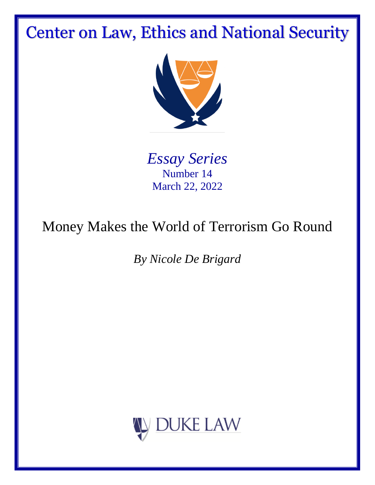# Center on Law, Ethics and National Security



*Essay Series* Number 14 March 22, 2022

# Money Makes the World of Terrorism Go Round

*By Nicole De Brigard*

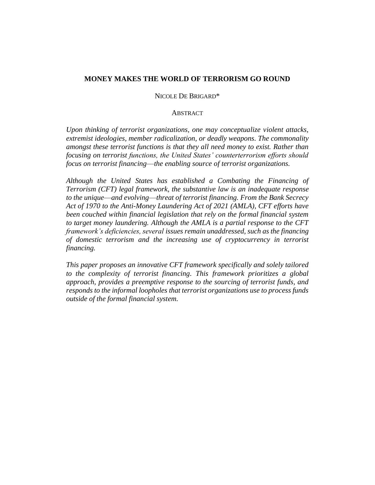# **MONEY MAKES THE WORLD OF TERRORISM GO ROUND**

### NICOLE DE BRIGARD\*

#### **ABSTRACT**

*Upon thinking of terrorist organizations, one may conceptualize violent attacks, extremist ideologies, member radicalization, or deadly weapons. The commonality amongst these terrorist functions is that they all need money to exist. Rather than focusing on terrorist functions, the United States' counterterrorism efforts should focus on terrorist financing––the enabling source of terrorist organizations.* 

*Although the United States has established a Combating the Financing of Terrorism (CFT) legal framework, the substantive law is an inadequate response to the unique––and evolving––threat of terrorist financing. From the Bank Secrecy Act of 1970 to the Anti-Money Laundering Act of 2021 (AMLA), CFT efforts have been couched within financial legislation that rely on the formal financial system to target money laundering. Although the AMLA is a partial response to the CFT framework's deficiencies, several issues remain unaddressed, such as the financing of domestic terrorism and the increasing use of cryptocurrency in terrorist financing.* 

*This paper proposes an innovative CFT framework specifically and solely tailored to the complexity of terrorist financing. This framework prioritizes a global approach, provides a preemptive response to the sourcing of terrorist funds, and responds to the informal loopholes that terrorist organizations use to process funds outside of the formal financial system.*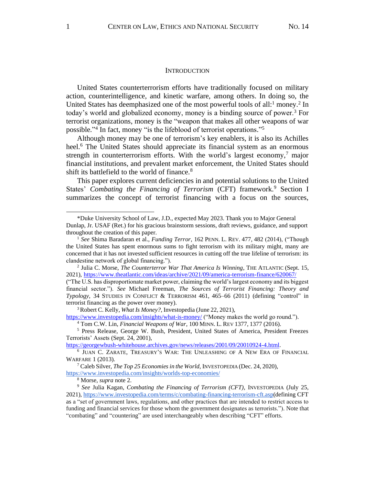#### **INTRODUCTION**

United States counterterrorism efforts have traditionally focused on military action, counterintelligence, and kinetic warfare, among others. In doing so, the United States has deemphasized one of the most powerful tools of all:<sup>1</sup> money.<sup>2</sup> In today's world and globalized economy, money is a binding source of power.<sup>3</sup> For terrorist organizations, money is the "weapon that makes all other weapons of war possible."<sup>4</sup> In fact, money "is the lifeblood of terrorist operations."<sup>5</sup>

Although money may be one of terrorism's key enablers, it is also its Achilles heel.<sup>6</sup> The United States should appreciate its financial system as an enormous strength in counterterrorism efforts. With the world's largest economy,<sup>7</sup> major financial institutions, and prevalent market enforcement, the United States should shift its battlefield to the world of finance.<sup>8</sup>

This paper explores current deficiencies in and potential solutions to the United States' *Combating the Financing of Terrorism* (CFT) framework.<sup>9</sup> Section I summarizes the concept of terrorist financing with a focus on the sources,

<https://www.investopedia.com/insights/what-is-money/> ("Money makes the world go round.").

<sup>\*</sup>Duke University School of Law, J.D., expected May 2023. Thank you to Major General Dunlap, Jr. USAF (Ret.) for his gracious brainstorm sessions, draft reviews, guidance, and support throughout the creation of this paper.

<sup>&</sup>lt;sup>1</sup> See Shima Baradaran et al., *Funding Terror*, 162 PENN. L. REV. 477, 482 (2014), ("Though the United States has spent enormous sums to fight terrorism with its military might, many are concerned that it has not invested sufficient resources in cutting off the true lifeline of terrorism: its clandestine network of global financing.").

<sup>2</sup> Julia C. Morse, *The Counterterror War That America Is Winning*, THE ATLANTIC (Sept. 15, 2021), https://www.theatlantic.com/ideas/archive/2021/09/america-terrorism-finance/620067/

<sup>(&</sup>quot;The U.S. has disproportionate market power, claiming the world's largest economy and its biggest financial sector."). *See* Michael Freeman, *The Sources of Terrorist Financing: Theory and Typology*, 34 STUDIES IN CONFLICT & TERRORISM 461, 465–66 (2011) (defining "control" in terrorist financing as the power over money).

<sup>&</sup>lt;sup>3</sup>Robert C. Kelly, *What Is Money?*, Investopedia (June 22, 2021),

<sup>4</sup> Tom C.W. Lin, *Financial Weapons of War*, 100 MINN. L. REV 1377, 1377 (2016).

<sup>5</sup> Press Release, George W. Bush, President, United States of America, President Freezes Terrorists' Assets (Sept. 24, 2001),

[https://georgewbush-whitehouse.archives.gov/news/releases/2001/09/20010924-4.html.](https://georgewbush-whitehouse.archives.gov/news/releases/2001/09/20010924-4.html)

<sup>6</sup> JUAN C. ZARATE, TREASURY'S WAR: THE UNLEASHING OF A NEW ERA OF FINANCIAL WARFARE 1 (2013).

<sup>&</sup>lt;sup>7</sup> Caleb Silver, *The Top 25 Economies in the World*, INVESTOPEDIA (Dec. 24, 2020),

<https://www.investopedia.com/insights/worlds-top-economies/>

<sup>8</sup> Morse, *supra* note 2.

<sup>9</sup> *See* Julia Kagan, *Combating the Financing of Terrorism (CFT)*, INVESTOPEDIA (July 25, 2021), [https://www.investopedia.com/terms/c/combating-financing-terrorism-cft.asp\(](https://www.investopedia.com/terms/c/combating-financing-terrorism-cft.asp)defining CFT as a "set of government laws, regulations, and other practices that are intended to restrict access to funding and financial services for those whom the government designates as terrorists."). Note that "combating" and "countering" are used interchangeably when describing "CFT" efforts.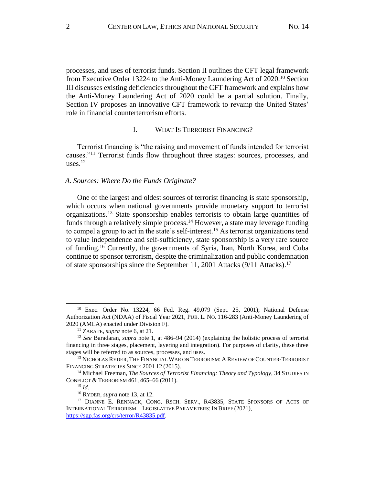processes, and uses of terrorist funds. Section II outlines the CFT legal framework from Executive Order 13224 to the Anti-Money Laundering Act of 2020.<sup>10</sup> Section III discusses existing deficiencies throughout the CFT framework and explains how the Anti-Money Laundering Act of 2020 could be a partial solution. Finally, Section IV proposes an innovative CFT framework to revamp the United States' role in financial counterterrorism efforts.

#### I. WHAT IS TERRORIST FINANCING?

Terrorist financing is "the raising and movement of funds intended for terrorist causes."<sup>11</sup> Terrorist funds flow throughout three stages: sources, processes, and uses. 12

### *A. Sources: Where Do the Funds Originate?*

One of the largest and oldest sources of terrorist financing is state sponsorship, which occurs when national governments provide monetary support to terrorist organizations.<sup>13</sup> State sponsorship enables terrorists to obtain large quantities of funds through a relatively simple process.<sup>14</sup> However, a state may leverage funding to compel a group to act in the state's self-interest.<sup>15</sup> As terrorist organizations tend to value independence and self-sufficiency, state sponsorship is a very rare source of funding. <sup>16</sup> Currently, the governments of Syria, Iran, North Korea, and Cuba continue to sponsor terrorism, despite the criminalization and public condemnation of state sponsorships since the September 11, 2001 Attacks (9/11 Attacks).<sup>17</sup>

<sup>10</sup> Exec. Order No. 13224, 66 Fed. Reg. 49,079 (Sept. 25, 2001); National Defense Authorization Act (NDAA) of Fiscal Year 2021, PUB. L. NO. 116-283 (Anti-Money Laundering of 2020 (AMLA) enacted under Division F).

<sup>11</sup> ZARATE, *supra* note 6, at 21.

<sup>12</sup> *See* Baradaran, *supra* note 1, at 486–94 (2014) (explaining the holistic process of terrorist financing in three stages, placement, layering and integration). For purposes of clarity, these three stages will be referred to as sources, processes, and uses.

<sup>&</sup>lt;sup>13</sup> NICHOLAS RYDER, THE FINANCIAL WAR ON TERRORISM: A REVIEW OF COUNTER-TERRORIST FINANCING STRATEGIES SINCE 2001 12 (2015).

<sup>&</sup>lt;sup>14</sup> Michael Freeman, *The Sources of Terrorist Financing: Theory and Typology*, 34 STUDIES IN CONFLICT & TERRORISM 461, 465–66 (2011).

<sup>15</sup> *Id.*

<sup>16</sup> RYDER, *supra* note 13, at 12.

<sup>&</sup>lt;sup>17</sup> DIANNE E. RENNACK, CONG. RSCH. SERV., R43835, STATE SPONSORS OF ACTS OF INTERNATIONAL TERRORISM—LEGISLATIVE PARAMETERS: IN BRIEF (2021), [https://sgp.fas.org/crs/terror/R43835.pdf.](https://sgp.fas.org/crs/terror/R43835.pdf)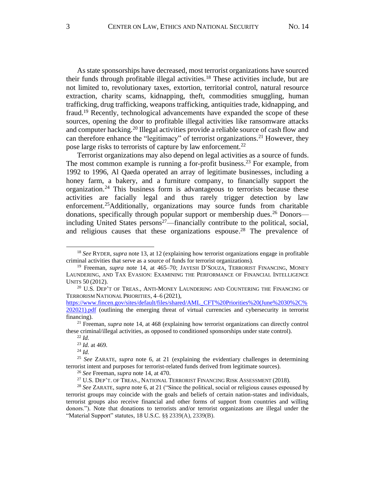As state sponsorships have decreased, most terrorist organizations have sourced their funds through profitable illegal activities.<sup>18</sup> These activities include, but are not limited to, revolutionary taxes, extortion, territorial control, natural resource extraction, charity scams, kidnapping, theft, commodities smuggling, human trafficking, drug trafficking, weapons trafficking, antiquities trade, kidnapping, and fraud.<sup>19</sup> Recently, technological advancements have expanded the scope of these sources, opening the door to profitable illegal activities like ransomware attacks and computer hacking.<sup>20</sup> Illegal activities provide a reliable source of cash flow and can therefore enhance the "legitimacy" of terrorist organizations.<sup>21</sup> However, they pose large risks to terrorists of capture by law enforcement.<sup>22</sup>

Terrorist organizations may also depend on legal activities as a source of funds. The most common example is running a for-profit business.<sup>23</sup> For example, from 1992 to 1996, Al Qaeda operated an array of legitimate businesses, including a honey farm, a bakery, and a furniture company, to financially support the organization.<sup>24</sup> This business form is advantageous to terrorists because these activities are facially legal and thus rarely trigger detection by law enforcement.<sup>25</sup>Additionally, organizations may source funds from charitable donations, specifically through popular support or membership dues.<sup>26</sup> Donors including United States persons $27$ —financially contribute to the political, social, and religious causes that these organizations espouse. <sup>28</sup> The prevalence of

<sup>18</sup> *See* RYDER, *supra* note 13, at 12 (explaining how terrorist organizations engage in profitable criminal activities that serve as a source of funds for terrorist organizations).

<sup>19</sup> Freeman, *supra* note 14, at 465–70; JAYESH D'SOUZA, TERRORIST FINANCING, MONEY LAUNDERING, AND TAX EVASION: EXAMINING THE PERFORMANCE OF FINANCIAL INTELLIGENCE UNITS 50 (2012).

 $^{20}$  U.S. Dep't of Treas., Anti-Money Laundering and Countering the Financing of TERRORISM NATIONAL PRIORITIES, 4-6 (2021),

[https://www.fincen.gov/sites/default/files/shared/AML\\_CFT%20Priorities%20\(June%2030%2C%](https://www.fincen.gov/sites/default/files/shared/AML_CFT%20Priorities%20(June%2030%2C%202021).pdf) [202021\).pdf](https://www.fincen.gov/sites/default/files/shared/AML_CFT%20Priorities%20(June%2030%2C%202021).pdf) (outlining the emerging threat of virtual currencies and cybersecurity in terrorist financing).

<sup>21</sup> Freeman, *supra* note 14, at 468 (explaining how terrorist organizations can directly control these criminal/illegal activities, as opposed to conditioned sponsorships under state control).

<sup>22</sup> *Id.*

<sup>23</sup> *Id.* at 469.

<sup>24</sup> *Id.* 

<sup>25</sup> *See* ZARATE, *supra* note 6, at 21 (explaining the evidentiary challenges in determining terrorist intent and purposes for terrorist-related funds derived from legitimate sources).

<sup>26</sup> *See* Freeman, *supra* note 14, at 470.

<sup>&</sup>lt;sup>27</sup> U.S. DEP'T. OF TREAS., NATIONAL TERRORIST FINANCING RISK ASSESSMENT (2018).

<sup>28</sup> *See* ZARATE, *supra* note 6, at 21 ("Since the political, social or religious causes espoused by terrorist groups may coincide with the goals and beliefs of certain nation-states and individuals, terrorist groups also receive financial and other forms of support from countries and willing donors."). Note that donations to terrorists and/or terrorist organizations are illegal under the "Material Support" statutes, 18 U.S.C. §§ 2339(A), 2339(B).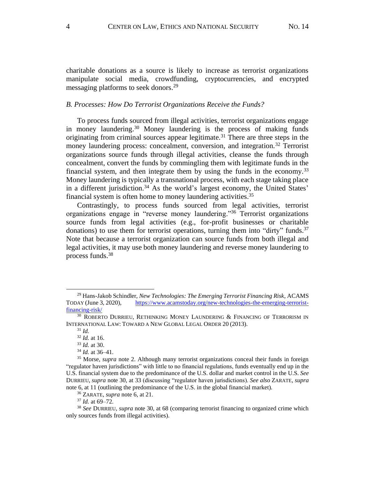charitable donations as a source is likely to increase as terrorist organizations manipulate social media, crowdfunding, cryptocurrencies, and encrypted messaging platforms to seek donors.<sup>29</sup>

## *B. Processes: How Do Terrorist Organizations Receive the Funds?*

To process funds sourced from illegal activities, terrorist organizations engage in money laundering. <sup>30</sup> Money laundering is the process of making funds originating from criminal sources appear legitimate.<sup>31</sup> There are three steps in the money laundering process: concealment, conversion, and integration.<sup>32</sup> Terrorist organizations source funds through illegal activities, cleanse the funds through concealment, convert the funds by commingling them with legitimate funds in the financial system, and then integrate them by using the funds in the economy.<sup>33</sup> Money laundering is typically a transnational process, with each stage taking place in a different jurisdiction.<sup>34</sup> As the world's largest economy, the United States' financial system is often home to money laundering activities.<sup>35</sup>

Contrastingly, to process funds sourced from legal activities, terrorist organizations engage in "reverse money laundering."<sup>36</sup> Terrorist organizations source funds from legal activities (e.g., for-profit businesses or charitable donations) to use them for terrorist operations, turning them into "dirty" funds.<sup>37</sup> Note that because a terrorist organization can source funds from both illegal and legal activities, it may use both money laundering and reverse money laundering to process funds. 38

<sup>37</sup> *Id.* at 69–72.

<sup>29</sup> Hans-Jakob Schindler, *New Technologies: The Emerging Terrorist Financing Risk*, ACAMS TODAY (June 3, 2020), https://www.acamstoday.org/new-technologies-the-emerging-terrorist[financing-risk/](https://www.acamstoday.org/new-technologies-the-emerging-terrorist-financing-risk/)

 $30$  ROBERTO DURRIEU, RETHINKING MONEY LAUNDERING & FINANCING OF TERRORISM IN INTERNATIONAL LAW: TOWARD A NEW GLOBAL LEGAL ORDER 20 (2013).

<sup>31</sup> *Id.*

<sup>32</sup> *Id.* at 16.

<sup>33</sup> *Id.* at 30. <sup>34</sup> *Id.* at 36–41.

<sup>35</sup> Morse, *supra* note 2. Although many terrorist organizations conceal their funds in foreign "regulator haven jurisdictions" with little to no financial regulations, funds eventually end up in the U.S. financial system due to the predominance of the U.S. dollar and market control in the U.S. *See* DURRIEU, *supra* note 30, at 33 (discussing "regulator haven jurisdictions). *See also* ZARATE, *supra* note 6, at 11 (outlining the predominance of the U.S. in the global financial market).

<sup>36</sup> ZARATE, *supra* note 6, at 21.

<sup>38</sup> *See* DURRIEU, *supra* note 30, at 68 (comparing terrorist financing to organized crime which only sources funds from illegal activities).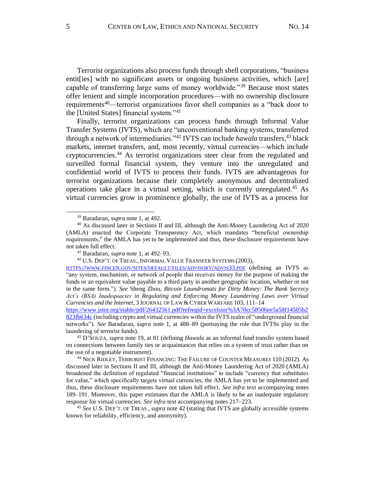Terrorist organizations also process funds through shell corporations, "business entit[ies] with no significant assets or ongoing business activities, which [are] capable of transferring large sums of money worldwide."<sup>39</sup> Because most states offer lenient and simple incorporation procedures––with no ownership disclosure requirements<sup>40</sup>—terrorist organizations favor shell companies as a "back door to the [United States] financial system."<sup>41</sup>

Finally, terrorist organizations can process funds through Informal Value Transfer Systems (IVTS), which are "unconventional banking systems, transferred through a network of intermediaries."<sup>42</sup> IVTS can include *hawala* transfers,<sup>43</sup> black markets, internet transfers, and, most recently, virtual currencies––which include cryptocurrencies. <sup>44</sup> As terrorist organizations steer clear from the regulated and surveilled formal financial system, they venture into the unregulated and confidential world of IVTS to process their funds. IVTS are advantageous for terrorist organizations because their completely anonymous and decentralized operations take place in a virtual setting, which is currently unregulated. <sup>45</sup> As virtual currencies grow in prominence globally, the use of IVTS as a process for

<sup>43</sup> D'SOUZA, *supra* note 19, at 81 (defining *Hawala* as an informal fund transfer system based on connections between family ties or acquaintances that relies on a system of trust rather than on the use of a negotiable instrument).

<sup>44</sup> NICK RIDLEY, TERRORIST FINANCING: THE FAILURE OF COUNTER MEASURES 110 (2012). As discussed later in Sections II and III, although the Anti-Money Laundering Act of 2020 (AMLA) broadened the definition of regulated "financial institutions" to include "currency that substitutes for value," which specifically targets virtual currencies, the AMLA has yet to be implemented and thus, these disclosure requirements have not taken full effect. *See infra* text accompanying notes 189–191. Moreover, this paper estimates that the AMLA is likely to be an inadequate regulatory response for virtual currencies. *See infra* text accompanying notes 217–223.

<sup>45</sup> *See* U.S. DEP'T. OF TREAS., *supra* note 42 (stating that IVTS are globally accessible systems known for reliability, efficiency, and anonymity).

<sup>39</sup> Baradaran, *supra* note 1, at 492.

<sup>40</sup> As discussed later in Sections II and III, although the Anti-Money Laundering Act of 2020 (AMLA) enacted the Corporate Transparency Act, which mandates "beneficial ownership requirements," the AMLA has yet to be implemented and thus, these disclosure requirements have not taken full effect.

<sup>41</sup> Baradaran, *supra* note 1, at 492–93.

<sup>&</sup>lt;sup>42</sup> U.S. DEP'T. OF TREAS., INFORMAL VALUE TRANSFER SYSTEMS (2003),

HTTPS://WWW.FINCEN.GOV/SITES/DEFAULT/FILES/[ADVISORY](https://www.fincen.gov/sites/default/files/advisory/advis33.pdf)/ADVIS33.PDF (defining an IVTS as "any system, mechanism, or network of people that receives money for the purpose of making the funds or an equivalent value payable to a third party in another geographic location, whether or not in the same form."). *See* Sheng Zhou, *Bitcoin Laundromats for Dirty Money: The Bank Secrecy Act's (BSA) Inadequacies in Regulating and Enforcing Money Laundering Laws over Virtual Currencies and the Internet*, 3 JOURNAL OF LAW & CYBER WARFARE 103, 111–14………………….

[https://www.jstor.org/stable/pdf/26432561.pdf?refreqid=excelsior%3A70cc58506ee5a58f14505b2](https://www.jstor.org/stable/pdf/26432561.pdf?refreqid=excelsior%3A70cc58506ee5a58f14505b2823fb634c) [823fb634c](https://www.jstor.org/stable/pdf/26432561.pdf?refreqid=excelsior%3A70cc58506ee5a58f14505b2823fb634c) (including crypto and virtual currencies within the IVTS realm of "underground financial networks"). *See* Baradaran, *supra* note 1, at 488–89 (portraying the role that IVTSs play in the laundering of terrorist funds).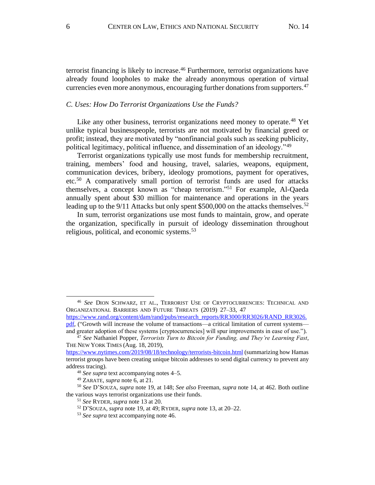terrorist financing is likely to increase. <sup>46</sup> Furthermore, terrorist organizations have already found loopholes to make the already anonymous operation of virtual currencies even more anonymous, encouraging further donations from supporters.<sup>47</sup>

# *C. Uses: How Do Terrorist Organizations Use the Funds?*

Like any other business, terrorist organizations need money to operate.<sup>48</sup> Yet unlike typical businesspeople, terrorists are not motivated by financial greed or profit; instead, they are motivated by "nonfinancial goals such as seeking publicity, political legitimacy, political influence, and dissemination of an ideology."<sup>49</sup>

Terrorist organizations typically use most funds for membership recruitment, training, members' food and housing, travel, salaries, weapons, equipment, communication devices, bribery, ideology promotions, payment for operatives, etc. <sup>50</sup> A comparatively small portion of terrorist funds are used for attacks themselves, a concept known as "cheap terrorism." <sup>51</sup> For example, Al-Qaeda annually spent about \$30 million for maintenance and operations in the years leading up to the 9/11 Attacks but only spent \$500,000 on the attacks themselves.<sup>52</sup>

In sum, terrorist organizations use most funds to maintain, grow, and operate the organization, specifically in pursuit of ideology dissemination throughout religious, political, and economic systems.<sup>53</sup>

[https://www.rand.org/content/dam/rand/pubs/research\\_reports/RR3000/RR3026/RAND\\_RR3026.](https://www.rand.org/content/dam/rand/pubs/research_reports/RR3000/RR3026/RAND_RR3026.pdf) [pdf,](https://www.rand.org/content/dam/rand/pubs/research_reports/RR3000/RR3026/RAND_RR3026.pdf) ("Growth will increase the volume of transactions—a critical limitation of current systems and greater adoption of these systems [cryptocurrencies] will spur improvements in ease of use.").

<sup>46</sup> *See* DION SCHWARZ, ET AL., TERRORIST USE OF CRYPTOCURRENCIES: TECHNICAL AND ORGANIZATIONAL BARRIERS AND FUTURE THREATS (2019) 27-33, 47

<sup>47</sup> *See* Nathaniel Popper, *Terrorists Turn to Bitcoin for Funding, and They're Learning Fast*, THE NEW YORK TIMES (Aug. 18, 2019),

<https://www.nytimes.com/2019/08/18/technology/terrorists-bitcoin.html> (summarizing how Hamas terrorist groups have been creating unique bitcoin addresses to send digital currency to prevent any address tracing).

<sup>48</sup> *See supra* text accompanying notes 4–5.

<sup>49</sup> ZARATE, *supra* note 6, at 21.

<sup>50</sup> *See* D'SOUZA, *supra* note 19, at 148; *See also* Freeman, *supra* note 14, at 462. Both outline the various ways terrorist organizations use their funds.

<sup>51</sup> *See* RYDER, *supra* note 13 at 20.

<sup>52</sup> D'SOUZA, *supra* note 19, at 49; RYDER, *supra* note 13, at 20–22.

<sup>53</sup> *See supra* text accompanying note 46.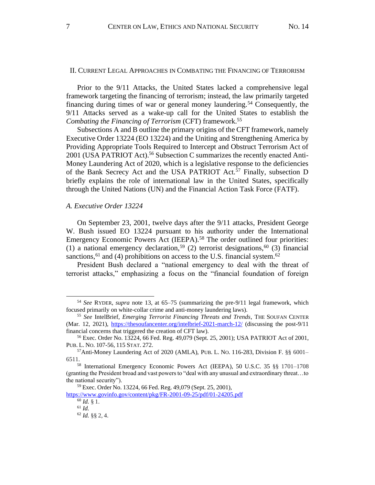#### II. CURRENT LEGAL APPROACHES IN COMBATING THE FINANCING OF TERRORISM

Prior to the 9/11 Attacks, the United States lacked a comprehensive legal framework targeting the financing of terrorism; instead, the law primarily targeted financing during times of war or general money laundering.<sup>54</sup> Consequently, the 9/11 Attacks served as a wake-up call for the United States to establish the *Combating the Financing of Terrorism* (CFT) framework.<sup>55</sup>

Subsections A and B outline the primary origins of the CFT framework, namely Executive Order 13224 (EO 13224) and the Uniting and Strengthening America by Providing Appropriate Tools Required to Intercept and Obstruct Terrorism Act of 2001 (USA PATRIOT Act). <sup>56</sup> Subsection C summarizes the recently enacted Anti-Money Laundering Act of 2020, which is a legislative response to the deficiencies of the Bank Secrecy Act and the USA PATRIOT Act.<sup>57</sup> Finally, subsection D briefly explains the role of international law in the United States, specifically through the United Nations (UN) and the Financial Action Task Force (FATF).

# *A. Executive Order 13224*

On September 23, 2001, twelve days after the 9/11 attacks, President George W. Bush issued EO 13224 pursuant to his authority under the International Emergency Economic Powers Act (IEEPA).<sup>58</sup> The order outlined four priorities: (1) a national emergency declaration,<sup>59</sup> (2) terrorist designations,<sup>60</sup> (3) financial sanctions,  $61$  and (4) prohibitions on access to the U.S. financial system.  $62$ 

President Bush declared a "national emergency to deal with the threat of terrorist attacks," emphasizing a focus on the "financial foundation of foreign

<sup>54</sup> *See* RYDER, *supra* note 13, at 65–75 (summarizing the pre-9/11 legal framework, which focused primarily on white-collar crime and anti-money laundering laws).

<sup>55</sup> *See* IntelBrief, *Emerging Terrorist Financing Threats and Trends*, THE SOUFAN CENTER (Mar. 12, 2021), <https://thesoufancenter.org/intelbrief-2021-march-12/> (discussing the post-9/11 financial concerns that triggered the creation of CFT law).

<sup>56</sup> Exec. Order No. 13224, 66 Fed. Reg. 49,079 (Sept. 25, 2001); USA PATRIOT Act of 2001, PUB. L. NO. 107-56, 115 STAT. 272.

 $57$ Anti-Money Laundering Act of 2020 (AMLA), PUB. L. No. 116-283, Division F. §§ 6001– 6511.

<sup>58</sup> International Emergency Economic Powers Act (IEEPA), 50 U.S.C. 35 §§ 1701–1708 (granting the President broad and vast powers to "deal with any unusual and extraordinary threat…to the national security").

<sup>59</sup> Exec. Order No. 13224, 66 Fed. Reg. 49,079 (Sept. 25, 2001),

<https://www.govinfo.gov/content/pkg/FR-2001-09-25/pdf/01-24205.pdf>

<sup>60</sup> *Id.* § 1.

<sup>61</sup> *Id.*

<sup>62</sup> *Id.* §§ 2, 4.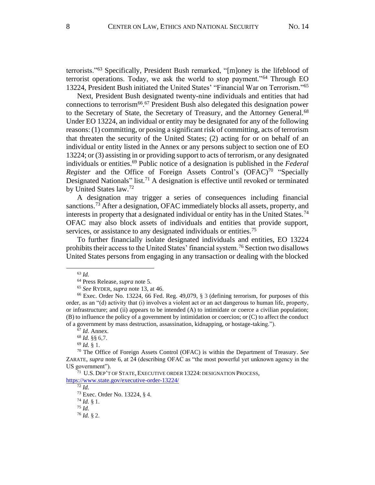terrorists."<sup>63</sup> Specifically, President Bush remarked, "[m]oney is the lifeblood of terrorist operations. Today, we ask the world to stop payment."<sup>64</sup> Through EO 13224, President Bush initiated the United States' "Financial War on Terrorism." 65

Next, President Bush designated twenty-nine individuals and entities that had connections to terrorism<sup>66</sup>.<sup>67</sup> President Bush also delegated this designation power to the Secretary of State, the Secretary of Treasury, and the Attorney General.<sup>68</sup> Under EO 13224, an individual or entity may be designated for any of the following reasons: (1) committing, or posing a significant risk of committing, acts of terrorism that threaten the security of the United States; (2) acting for or on behalf of an individual or entity listed in the Annex or any persons subject to section one of EO 13224; or (3) assisting in or providing support to acts of terrorism, or any designated individuals or entities.<sup>69</sup> Public notice of a designation is published in the *Federal Register* and the Office of Foreign Assets Control's (OFAC)<sup>70</sup> "Specially Designated Nationals" list.<sup>71</sup> A designation is effective until revoked or terminated by United States law.<sup>72</sup>

A designation may trigger a series of consequences including financial sanctions.<sup>73</sup> After a designation, OFAC immediately blocks all assets, property, and interests in property that a designated individual or entity has in the United States.<sup>74</sup> OFAC may also block assets of individuals and entities that provide support, services, or assistance to any designated individuals or entities.<sup>75</sup>

To further financially isolate designated individuals and entities, EO 13224 prohibits their access to the United States' financial system.<sup>76</sup> Section two disallows United States persons from engaging in any transaction or dealing with the blocked

<https://www.state.gov/executive-order-13224/>

 $\overline{72}$  *Id.* 

<sup>74</sup> *Id.* § 1.

<sup>75</sup> *Id.* 

<sup>63</sup> *Id.*

<sup>64</sup> Press Release, *supra* note 5.

<sup>65</sup> *See* RYDER, *supra* note 13, at 46.

<sup>66</sup> Exec. Order No. 13224, 66 Fed. Reg. 49,079, § 3 (defining terrorism, for purposes of this order, as an "(d) activity that (i) involves a violent act or an act dangerous to human life, property, or infrastructure; and (ii) appears to be intended (A) to intimidate or coerce a civilian population; (B) to influence the policy of a government by intimidation or coercion; or (C) to affect the conduct of a government by mass destruction, assassination, kidnapping, or hostage-taking.").

<sup>67</sup> *Id*. Annex.

<sup>68</sup> *Id.* §§ 6,7.

<sup>69</sup> *Id.* § 1.

<sup>70</sup> The Office of Foreign Assets Control (OFAC) is within the Department of Treasury. *See* ZARATE, *supra* note 6, at 24 (describing OFAC as "the most powerful yet unknown agency in the US government").

 $^{71}\,$  U.S. Dep't of State, Executive order 13224: designation Process,

<sup>73</sup> Exec. Order No. 13224, § 4.

<sup>76</sup> *Id.* § 2.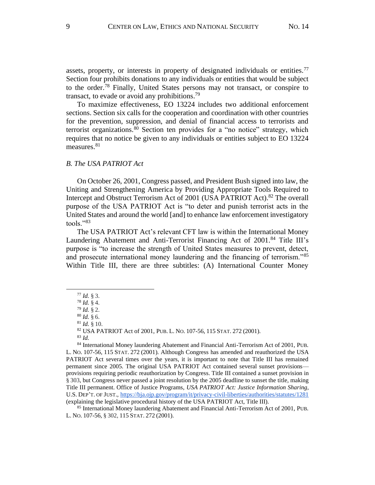assets, property, or interests in property of designated individuals or entities.<sup>77</sup> Section four prohibits donations to any individuals or entities that would be subject to the order.<sup>78</sup> Finally, United States persons may not transact, or conspire to transact, to evade or avoid any prohibitions.<sup>79</sup>

To maximize effectiveness, EO 13224 includes two additional enforcement sections. Section six calls for the cooperation and coordination with other countries for the prevention, suppression, and denial of financial access to terrorists and terrorist organizations.<sup>80</sup> Section ten provides for a "no notice" strategy, which requires that no notice be given to any individuals or entities subject to EO 13224 measures. 81

#### *B. The USA PATRIOT Act*

On October 26, 2001, Congress passed, and President Bush signed into law, the Uniting and Strengthening America by Providing Appropriate Tools Required to Intercept and Obstruct Terrorism Act of 2001 (USA PATRIOT Act). <sup>82</sup> The overall purpose of the USA PATRIOT Act is "to deter and punish terrorist acts in the United States and around the world [and] to enhance law enforcement investigatory tools."<sup>83</sup>

The USA PATRIOT Act's relevant CFT law is within the International Money Laundering Abatement and Anti-Terrorist Financing Act of 2001.<sup>84</sup> Title III's purpose is "to increase the strength of United States measures to prevent, detect, and prosecute international money laundering and the financing of terrorism.<sup>85</sup> Within Title III, there are three subtitles: (A) International Counter Money

<sup>81</sup> *Id.* § 10.

<sup>83</sup> *Id.*

<sup>77</sup> *Id.* § 3.

<sup>78</sup> *Id.* § 4.

<sup>79</sup> *Id.* § 2.

<sup>80</sup> *Id.* § 6.

<sup>82</sup> USA PATRIOT Act of 2001, PUB. L. NO. 107-56, 115STAT. 272 (2001).

<sup>84</sup> International Money laundering Abatement and Financial Anti-Terrorism Act of 2001, PUB. L. NO. 107-56, 115 STAT. 272 (2001). Although Congress has amended and reauthorized the USA PATRIOT Act several times over the years, it is important to note that Title III has remained permanent since 2005. The original USA PATRIOT Act contained several sunset provisions–– provisions requiring periodic reauthorization by Congress. Title III contained a sunset provision in § 303, but Congress never passed a joint resolution by the 2005 deadline to sunset the title, making Title III permanent. Office of Justice Programs, *USA PATRIOT Act: Justice Information Sharing*, U.S. DEP'T. OF JUST., <https://bja.ojp.gov/program/it/privacy-civil-liberties/authorities/statutes/1281> (explaining the legislative procedural history of the USA PATRIOT Act, Title III).

<sup>85</sup> International Money laundering Abatement and Financial Anti-Terrorism Act of 2001, PUB. L. NO. 107-56, § 302, 115STAT. 272 (2001).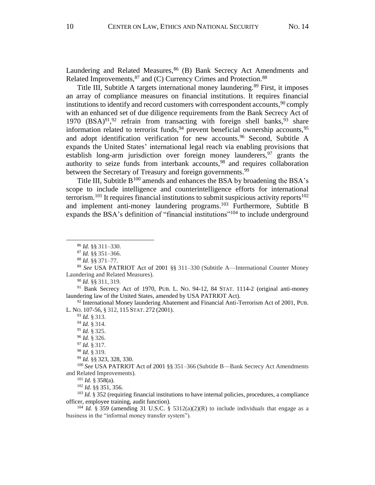Laundering and Related Measures, <sup>86</sup> (B) Bank Secrecy Act Amendments and Related Improvements, <sup>87</sup> and (C) Currency Crimes and Protection. 88

Title III, Subtitle A targets international money laundering.<sup>89</sup> First, it imposes an array of compliance measures on financial institutions. It requires financial institutions to identify and record customers with correspondent accounts,<sup>90</sup> comply with an enhanced set of due diligence requirements from the Bank Secrecy Act of 1970  $(BSA)^{91}$ , <sup>92</sup> refrain from transacting with foreign shell banks, <sup>93</sup> share information related to terrorist funds,  $94$  prevent beneficial ownership accounts,  $95$ and adopt identification verification for new accounts.<sup>96</sup> Second, Subtitle A expands the United States' international legal reach via enabling provisions that establish long-arm jurisdiction over foreign money launderers,  $97$  grants the authority to seize funds from interbank accounts,<sup>98</sup> and requires collaboration between the Secretary of Treasury and foreign governments.<sup>99</sup>

Title III, Subtitle  $B^{100}$  amends and enhances the BSA by broadening the BSA's scope to include intelligence and counterintelligence efforts for international terrorism.<sup>101</sup> It requires financial institutions to submit suspicious activity reports<sup>102</sup> and implement anti-money laundering programs. <sup>103</sup> Furthermore, Subtitle B expands the BSA's definition of "financial institutions"<sup>104</sup> to include underground

<sup>91</sup> Bank Secrecy Act of 1970, PUB. L. NO. 94-12, 84 STAT. 1114-2 (original anti-money laundering law of the United States, amended by USA PATRIOT Act).

 $92$  International Money laundering Abatement and Financial Anti-Terrorism Act of 2001, PUB. L. NO. 107-56, § 312, 115STAT. 272 (2001).

<sup>100</sup> *See* USA PATRIOT Act of 2001 §§ 351–366 (Subtitle B––Bank Secrecy Act Amendments and Related Improvements).

 $101$  *Id.* § 358(a).

<sup>102</sup> *Id.* §§ 351, 356.

<sup>103</sup> *Id.* § 352 (requiring financial institutions to have internal policies, procedures, a compliance officer, employee training, audit function).

<sup>104</sup> *Id.* § 359 (amending 31 U.S.C. § 5312(a)(2)(R) to include individuals that engage as a business in the "informal money transfer system").

<sup>86</sup> *Id.* §§ 311–330.

<sup>87</sup> *Id.* §§ 351–366.

<sup>88</sup> *Id.* §§ 371–77.

<sup>89</sup> *See* USA PATRIOT Act of 2001 §§ 311–330 (Subtitle A––International Counter Money Laundering and Related Measures).

<sup>90</sup> *Id.* §§ 311, 319.

<sup>93</sup> *Id.* § 313.

<sup>94</sup> *Id.* § 314.

<sup>95</sup> *Id.* § 325.

<sup>96</sup> *Id.* § 326.

<sup>97</sup> *Id.* § 317.

<sup>98</sup> *Id.* § 319.

<sup>99</sup> *Id.* §§ 323, 328, 330.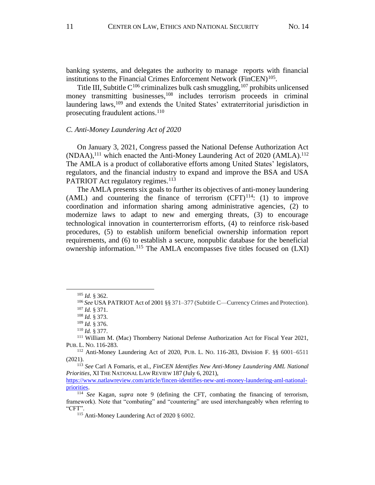banking systems, and delegates the authority to manage reports with financial institutions to the Financial Crimes Enforcement Network (FinCEN)<sup>105</sup>.

Title III, Subtitle  $C^{106}$  criminalizes bulk cash smuggling,  $107$  prohibits unlicensed money transmitting businesses, <sup>108</sup> includes terrorism proceeds in criminal laundering laws,<sup>109</sup> and extends the United States' extraterritorial jurisdiction in prosecuting fraudulent actions. 110

#### *C. Anti-Money Laundering Act of 2020*

On January 3, 2021, Congress passed the National Defense Authorization Act  $(NDAA)$ ,<sup>111</sup> which enacted the Anti-Money Laundering Act of 2020 (AMLA).<sup>112</sup> The AMLA is a product of collaborative efforts among United States' legislators, regulators, and the financial industry to expand and improve the BSA and USA PATRIOT Act regulatory regimes.<sup>113</sup>

The AMLA presents six goals to further its objectives of anti-money laundering (AML) and countering the finance of terrorism  $(CFT)^{114}$ : (1) to improve coordination and information sharing among administrative agencies, (2) to modernize laws to adapt to new and emerging threats, (3) to encourage technological innovation in counterterrorism efforts, (4) to reinforce risk-based procedures, (5) to establish uniform beneficial ownership information report requirements, and (6) to establish a secure, nonpublic database for the beneficial ownership information.<sup>115</sup> The AMLA encompasses five titles focused on (LXI)

<sup>105</sup> *Id.* § 362.

<sup>106</sup> *See* USA PATRIOT Act of 2001 §§ 371–377 (Subtitle C––Currency Crimes and Protection). <sup>107</sup> *Id.* § 371.

<sup>108</sup> *Id.* § 373.

<sup>109</sup> *Id.* § 376.

<sup>110</sup> *Id.* § 377.

<sup>111</sup> William M. (Mac) Thornberry National Defense Authorization Act for Fiscal Year 2021, PUB. L. NO. 116-283.

<sup>112</sup> Anti-Money Laundering Act of 2020, PUB. L. NO. 116-283, Division F. §§ 6001–6511 (2021).

<sup>113</sup> *See* Carl A Fornaris, et al., *FinCEN Identifies New Anti-Money Laundering AML National Priorities*, XI THE NATIONAL LAW REVIEW 187 (July 6, 2021),

[https://www.natlawreview.com/article/fincen-identifies-new-anti-money-laundering-aml-national](https://www.natlawreview.com/article/fincen-identifies-new-anti-money-laundering-aml-national-priorities)[priorities.](https://www.natlawreview.com/article/fincen-identifies-new-anti-money-laundering-aml-national-priorities)

<sup>114</sup> *See* Kagan, *supra* note 9 (defining the CFT, combating the financing of terrorism, framework). Note that "combating" and "countering" are used interchangeably when referring to "CFT".

<sup>115</sup> Anti-Money Laundering Act of 2020 § 6002.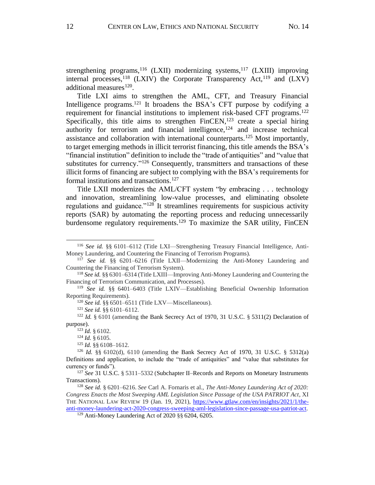strengthening programs,  $116$  (LXII) modernizing systems,  $117$  (LXIII) improving internal processes, <sup>118</sup> (LXIV) the Corporate Transparency Act, <sup>119</sup> and (LXV) additional measures<sup>120</sup>.

Title LXI aims to strengthen the AML, CFT, and Treasury Financial Intelligence programs.<sup>121</sup> It broadens the BSA's CFT purpose by codifying a requirement for financial institutions to implement risk-based CFT programs.<sup>122</sup> Specifically, this title aims to strengthen  $FinCEN$ ,<sup>123</sup> create a special hiring authority for terrorism and financial intelligence, $124$  and increase technical assistance and collaboration with international counterparts.<sup>125</sup> Most importantly, to target emerging methods in illicit terrorist financing, this title amends the BSA's "financial institution" definition to include the "trade of antiquities" and "value that substitutes for currency."<sup>126</sup> Consequently, transmitters and transactions of these illicit forms of financing are subject to complying with the BSA's requirements for formal institutions and transactions.<sup>127</sup>

Title LXII modernizes the AML/CFT system "by embracing . . . technology and innovation, streamlining low-value processes, and eliminating obsolete regulations and guidance."<sup>128</sup> It streamlines requirements for suspicious activity reports (SAR) by automating the reporting process and reducing unnecessarily burdensome regulatory requirements.<sup>129</sup> To maximize the SAR utility, FinCEN

<sup>120</sup> See id. §§ 6501–6511 (Title LXV—Miscellaneous).

<sup>121</sup> *See id.* §§ 6101–6112.

<sup>122</sup> *Id.* § 6101 (amending the Bank Secrecy Act of 1970, 31 U.S.C. § 5311(2) Declaration of purpose).

<sup>124</sup> *Id.* § 6105.

<sup>116</sup> *See id.* §§ 6101–6112 (Title LXI––Strengthening Treasury Financial Intelligence, Anti-Money Laundering, and Countering the Financing of Terrorism Programs).

<sup>117</sup> *See id.* §§ 6201–6216 (Title LXII––Modernizing the Anti-Money Laundering and Countering the Financing of Terrorism System).

<sup>118</sup> *See id.* §§ 6301–6314 (Title LXIII––Improving Anti-Money Laundering and Countering the Financing of Terrorism Communication, and Processes).

<sup>119</sup> *See id.* §§ 6401–6403 (Title LXIV––Establishing Beneficial Ownership Information Reporting Requirements).

<sup>123</sup> *Id.* § 6102.

<sup>125</sup> *Id.* §§ 6108–1612.

<sup>126</sup> *Id.* §§ 6102(d), 6110 (amending the Bank Secrecy Act of 1970, 31 U.S.C. § 5312(a) Definitions and application, to include the "trade of antiquities" and "value that substitutes for currency or funds").

<sup>127</sup> *See* 31 U.S.C. § 5311–5332 (Subchapter II–Records and Reports on Monetary Instruments Transactions).

<sup>128</sup> *See id.* § 6201–6216. *See* Carl A. Fornaris et al., *The Anti-Money Laundering Act of 2020: Congress Enacts the Most Sweeping AML Legislation Since Passage of the USA PATRIOT Act*, XI THE NATIONAL LAW REVIEW 19 (Jan. 19, 2021), [https://www.gtlaw.com/en/insights/2021/1/the](https://www.gtlaw.com/en/insights/2021/1/the-anti-money-laundering-act-2020-congress-sweeping-aml-legislation-since-passage-usa-patriot-act)[anti-money-laundering-act-2020-congress-sweeping-aml-legislation-since-passage-usa-patriot-act.](https://www.gtlaw.com/en/insights/2021/1/the-anti-money-laundering-act-2020-congress-sweeping-aml-legislation-since-passage-usa-patriot-act)

<sup>129</sup> Anti-Money Laundering Act of 2020 §§ 6204, 6205.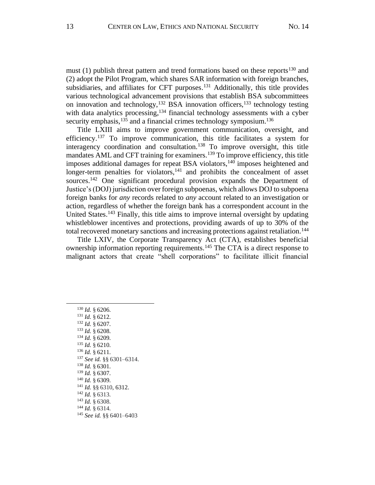must (1) publish threat pattern and trend formations based on these reports<sup>130</sup> and (2) adopt the Pilot Program, which shares SAR information with foreign branches, subsidiaries, and affiliates for CFT purposes.<sup>131</sup> Additionally, this title provides various technological advancement provisions that establish BSA subcommittees on innovation and technology,  $^{132}$  BSA innovation officers,  $^{133}$  technology testing with data analytics processing,<sup>134</sup> financial technology assessments with a cyber security emphasis,<sup>135</sup> and a financial crimes technology symposium.<sup>136</sup>

Title LXIII aims to improve government communication, oversight, and efficiency.<sup>137</sup> To improve communication, this title facilitates a system for interagency coordination and consultation.<sup>138</sup> To improve oversight, this title mandates AML and CFT training for examiners.<sup>139</sup> To improve efficiency, this title imposes additional damages for repeat BSA violators,<sup>140</sup> imposes heightened and longer-term penalties for violators,  $141$  and prohibits the concealment of asset sources.<sup>142</sup> One significant procedural provision expands the Department of Justice's (DOJ) jurisdiction over foreign subpoenas, which allows DOJ to subpoena foreign banks for *any* records related to *any* account related to an investigation or action, regardless of whether the foreign bank has a correspondent account in the United States.<sup>143</sup> Finally, this title aims to improve internal oversight by updating whistleblower incentives and protections, providing awards of up to 30% of the total recovered monetary sanctions and increasing protections against retaliation.<sup>144</sup>

Title LXIV, the Corporate Transparency Act (CTA), establishes beneficial ownership information reporting requirements.<sup>145</sup> The CTA is a direct response to malignant actors that create "shell corporations" to facilitate illicit financial

- <sup>133</sup> *Id.* § 6208.
- <sup>134</sup> *Id.* § 6209.
- <sup>135</sup> *Id.* § 6210.
- <sup>136</sup> *Id.* § 6211.
- <sup>137</sup> *See id.* §§ 6301–6314.
- <sup>138</sup> *Id.* § 6301. <sup>139</sup> *Id.* § 6307.
- <sup>140</sup> *Id.* § 6309.
- <sup>141</sup> *Id.* §§ 6310, 6312.
- <sup>142</sup> *Id.* § 6313.
- <sup>143</sup> *Id.* § 6308.
- <sup>144</sup> *Id.* § 6314.
- <sup>145</sup> *See id.* §§ 6401–6403

<sup>130</sup> *Id.* § 6206.

<sup>131</sup> *Id.* § 6212.

<sup>132</sup> *Id.* § 6207.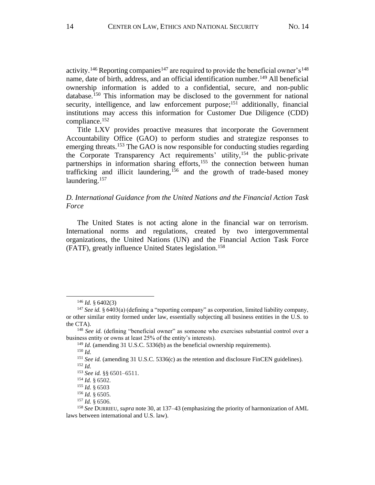activity.<sup>146</sup> Reporting companies<sup>147</sup> are required to provide the beneficial owner's<sup>148</sup> name, date of birth, address, and an official identification number.<sup>149</sup> All beneficial ownership information is added to a confidential, secure, and non-public database.<sup>150</sup> This information may be disclosed to the government for national security, intelligence, and law enforcement purpose;<sup>151</sup> additionally, financial institutions may access this information for Customer Due Diligence (CDD) compliance. 152

Title LXV provides proactive measures that incorporate the Government Accountability Office (GAO) to perform studies and strategize responses to emerging threats.<sup>153</sup> The GAO is now responsible for conducting studies regarding the Corporate Transparency Act requirements' utility, <sup>154</sup> the public-private partnerships in information sharing efforts,<sup>155</sup> the connection between human trafficking and illicit laundering,<sup>156</sup> and the growth of trade-based money laundering.<sup>157</sup>

# *D. International Guidance from the United Nations and the Financial Action Task Force*

The United States is not acting alone in the financial war on terrorism. International norms and regulations, created by two intergovernmental organizations, the United Nations (UN) and the Financial Action Task Force (FATF), greatly influence United States legislation.<sup>158</sup>

<sup>146</sup> *Id.* § 6402(3)

<sup>&</sup>lt;sup>147</sup> See id. § 6403(a) (defining a "reporting company" as corporation, limited liability company, or other similar entity formed under law, essentially subjecting all business entities in the U.S. to the CTA).

<sup>&</sup>lt;sup>148</sup> *See id.* (defining "beneficial owner" as someone who exercises substantial control over a business entity or owns at least 25% of the entity's interests).

<sup>&</sup>lt;sup>149</sup> *Id.* (amending 31 U.S.C. 5336(b) as the beneficial ownership requirements).

<sup>150</sup> *Id.*

<sup>&</sup>lt;sup>151</sup> See id. (amending 31 U.S.C. 5336(c) as the retention and disclosure FinCEN guidelines). <sup>152</sup> *Id.*

<sup>153</sup> *See id.* §§ 6501–6511.

<sup>154</sup> *Id.* § 6502.

<sup>155</sup> *Id.* § 6503

<sup>156</sup> *Id.* § 6505.

<sup>157</sup> *Id.* § 6506.

<sup>158</sup> *See* DURRIEU, *supra* note 30, at 137–43 (emphasizing the priority of harmonization of AML laws between international and U.S. law).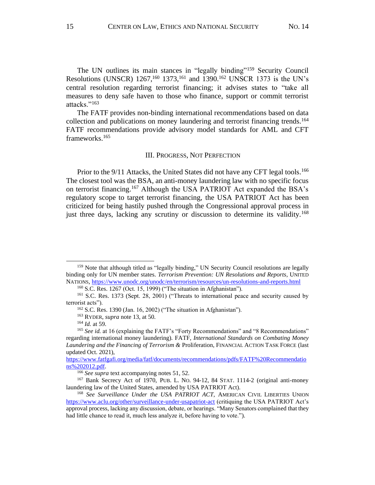The UN outlines its main stances in "legally binding"<sup>159</sup> Security Council Resolutions (UNSCR)  $1267$ , <sup>160</sup> 1373, <sup>161</sup> and 1390.<sup>162</sup> UNSCR 1373 is the UN's central resolution regarding terrorist financing; it advises states to "take all measures to deny safe haven to those who finance, support or commit terrorist attacks."<sup>163</sup>

The FATF provides non-binding international recommendations based on data collection and publications on money laundering and terrorist financing trends. 164 FATF recommendations provide advisory model standards for AML and CFT frameworks. 165

#### III. PROGRESS, NOT PERFECTION

Prior to the 9/11 Attacks, the United States did not have any CFT legal tools.<sup>166</sup> The closest tool was the BSA, an anti-money laundering law with no specific focus on terrorist financing. <sup>167</sup> Although the USA PATRIOT Act expanded the BSA's regulatory scope to target terrorist financing, the USA PATRIOT Act has been criticized for being hastily pushed through the Congressional approval process in just three days, lacking any scrutiny or discussion to determine its validity.<sup>168</sup>

<sup>&</sup>lt;sup>159</sup> Note that although titled as "legally binding," UN Security Council resolutions are legally binding only for UN member states. *Terrorism Prevention: UN Resolutions and Reports*, UNITED NATIONS[, https://www.unodc.org/unodc/en/terrorism/resources/un-resolutions-and-reports.html](https://www.unodc.org/unodc/en/terrorism/resources/un-resolutions-and-reports.html)

<sup>160</sup> S.C. Res. 1267 (Oct. 15, 1999) ("The situation in Afghanistan").

<sup>161</sup> S.C. Res. 1373 (Sept. 28, 2001) ("Threats to international peace and security caused by terrorist acts").

<sup>162</sup> S.C. Res. 1390 (Jan. 16, 2002) ("The situation in Afghanistan").

<sup>163</sup> RYDER, *supra* note 13, at 50.

<sup>164</sup> *Id.* at 59.

<sup>165</sup> *See id.* at 16 (explaining the FATF's "Forty Recommendations" and "8 Recommendations" regarding international money laundering). FATF, *International Standards on Combating Money Laundering and the Financing of Terrorism &* Proliferation, FINANCIAL ACTION TASK FORCE (last updated Oct. 2021),

[https://www.fatfgafi.org/media/fatf/documents/recommendations/pdfs/FATF%20Recommendatio](https://www.fatfgafi.org/media/fatf/documents/recommendations/pdfs/FATF%20Recommendations%202012.pdf) [ns%202012.pdf.](https://www.fatfgafi.org/media/fatf/documents/recommendations/pdfs/FATF%20Recommendations%202012.pdf)

<sup>166</sup> *See supra* text accompanying notes 51, 52.

<sup>167</sup> Bank Secrecy Act of 1970, PUB. L. NO. 94-12, 84 STAT. 1114-2 (original anti-money laundering law of the United States, amended by USA PATRIOT Act).

<sup>168</sup> *See Surveillance Under the USA PATRIOT ACT*, AMERICAN CIVIL LIBERTIES UNION <https://www.aclu.org/other/surveillance-under-usapatriot-act> (critiquing the USA PATRIOT Act's approval process, lacking any discussion, debate, or hearings. "Many Senators complained that they had little chance to read it, much less analyze it, before having to vote.").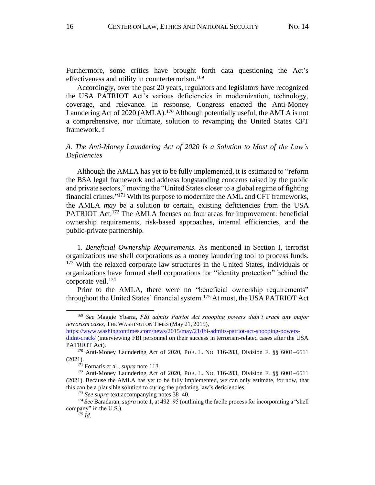Furthermore, some critics have brought forth data questioning the Act's effectiveness and utility in counterterrorism.<sup>169</sup>

Accordingly, over the past 20 years, regulators and legislators have recognized the USA PATRIOT Act's various deficiencies in modernization, technology, coverage, and relevance. In response, Congress enacted the Anti-Money Laundering Act of 2020 (AMLA).<sup>170</sup> Although potentially useful, the AMLA is not a comprehensive, nor ultimate, solution to revamping the United States CFT framework. f

# *A. The Anti-Money Laundering Act of 2020 Is a Solution to Most of the Law's Deficiencies*

Although the AMLA has yet to be fully implemented, it is estimated to "reform the BSA legal framework and address longstanding concerns raised by the public and private sectors," moving the "United States closer to a global regime of fighting financial crimes."<sup>171</sup> With its purpose to modernize the AML and CFT frameworks, the AMLA *may be* a solution to certain, existing deficiencies from the USA PATRIOT Act.<sup>172</sup> The AMLA focuses on four areas for improvement: beneficial ownership requirements, risk-based approaches, internal efficiencies, and the public-private partnership.

1. *Beneficial Ownership Requirements.* As mentioned in Section I, terrorist organizations use shell corporations as a money laundering tool to process funds. <sup>173</sup> With the relaxed corporate law structures in the United States, individuals or organizations have formed shell corporations for "identity protection" behind the corporate veil.<sup>174</sup>

Prior to the AMLA, there were no "beneficial ownership requirements" throughout the United States' financial system.<sup>175</sup> At most, the USA PATRIOT Act

<sup>169</sup> *See* Maggie Ybarra, *FBI admits Patriot Act snooping powers didn't crack any major terrorism cases*, THE WASHINGTON TIMES (May 21, 2015),………………………………………….

[https://www.washingtontimes.com/news/2015/may/21/fbi-admits-patriot-act-snooping-powers-](https://www.washingtontimes.com/news/2015/may/21/fbi-admits-patriot-act-snooping-powers-didnt-crack/)

[didnt-crack/](https://www.washingtontimes.com/news/2015/may/21/fbi-admits-patriot-act-snooping-powers-didnt-crack/) (interviewing FBI personnel on their success in terrorism-related cases after the USA PATRIOT Act).

<sup>170</sup> Anti-Money Laundering Act of 2020, PUB. L. NO. 116-283, Division F. §§ 6001–6511 (2021).

<sup>171</sup> Fornaris et al., *supra* note 113.

<sup>172</sup> Anti-Money Laundering Act of 2020, PUB. L. NO. 116-283, Division F. §§ 6001–6511 (2021). Because the AMLA has yet to be fully implemented, we can only estimate, for now, that this can be a plausible solution to curing the predating law's deficiencies.

<sup>173</sup> *See supra* text accompanying notes 38–40.

<sup>174</sup> *See* Baradaran, *supra* note 1, at 492–95 (outlining the facile process for incorporating a "shell company" in the U.S.).

 $175$  *Id.*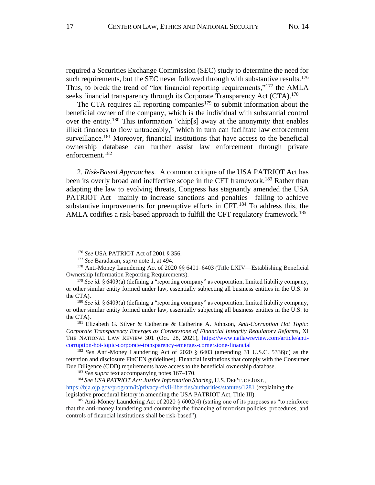required a Securities Exchange Commission (SEC) study to determine the need for such requirements, but the SEC never followed through with substantive results.<sup>176</sup> Thus, to break the trend of "lax financial reporting requirements,"<sup>177</sup> the AMLA seeks financial transparency through its Corporate Transparency Act (CTA).<sup>178</sup>

The CTA requires all reporting companies<sup>179</sup> to submit information about the beneficial owner of the company, which is the individual with substantial control over the entity.<sup>180</sup> This information "chip[s] away at the anonymity that enables illicit finances to flow untraceably," which in turn can facilitate law enforcement surveillance.<sup>181</sup> Moreover, financial institutions that have access to the beneficial ownership database can further assist law enforcement through private enforcement.<sup>182</sup>

2. *Risk-Based Approaches.* A common critique of the USA PATRIOT Act has been its overly broad and ineffective scope in the CFT framework.<sup>183</sup> Rather than adapting the law to evolving threats, Congress has stagnantly amended the USA PATRIOT Act––mainly to increase sanctions and penalties––failing to achieve substantive improvements for preemptive efforts in CFT.<sup>184</sup> To address this, the AMLA codifies a risk-based approach to fulfill the CFT regulatory framework.<sup>185</sup>

<sup>176</sup> *See* USA PATRIOT Act of 2001 § 356.

<sup>177</sup> *See* Baradaran, *supra* note 1, at 494.

<sup>178</sup> Anti-Money Laundering Act of 2020 §§ 6401–6403 (Title LXIV––Establishing Beneficial Ownership Information Reporting Requirements).

<sup>&</sup>lt;sup>179</sup> See id. § 6403(a) (defining a "reporting company" as corporation, limited liability company, or other similar entity formed under law, essentially subjecting all business entities in the U.S. to the CTA).

<sup>&</sup>lt;sup>180</sup> See id. § 6403(a) (defining a "reporting company" as corporation, limited liability company, or other similar entity formed under law, essentially subjecting all business entities in the U.S. to the CTA).

<sup>181</sup> Elizabeth G. Silver & Catherine & Catherine A. Johnson, *Anti-Corruption Hot Topic: Corporate Transparency Emerges as Cornerstone of Financial Integrity Regulatory Reforms*, XI THE NATIONAL LAW REVIEW 301 (Oct. 28, 2021), [https://www.natlawreview.com/article/anti](https://www.natlawreview.com/article/anti-corruption-hot-topic-corporate-transparency-emerges-cornerstone-financial)[corruption-hot-topic-corporate-transparency-emerges-cornerstone-financial](https://www.natlawreview.com/article/anti-corruption-hot-topic-corporate-transparency-emerges-cornerstone-financial)

<sup>182</sup> *See* Anti-Money Laundering Act of 2020 § 6403 (amending 31 U.S.C. 5336(c) as the retention and disclosure FinCEN guidelines). Financial institutions that comply with the Consumer Due Diligence (CDD) requirements have access to the beneficial ownership database.

<sup>183</sup> *See supra* text accompanying notes 167–170.

<sup>&</sup>lt;sup>184</sup> See USA PATRIOT Act: Justice Information Sharing, U.S. DEP'T. OF JUST.,

<https://bja.ojp.gov/program/it/privacy-civil-liberties/authorities/statutes/1281> (explaining the... legislative procedural history in amending the USA PATRIOT Act, Title III).

<sup>&</sup>lt;sup>185</sup> Anti-Money Laundering Act of 2020  $\S 6002(4)$  (stating one of its purposes as "to reinforce") that the anti-money laundering and countering the financing of terrorism policies, procedures, and controls of financial institutions shall be risk-based").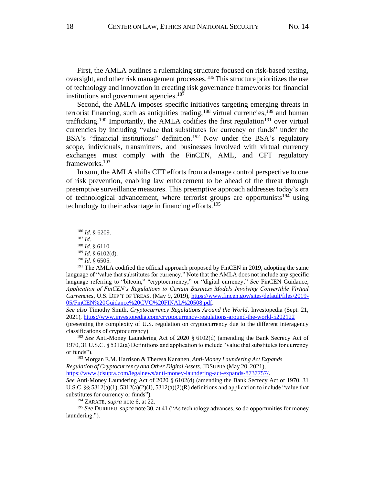First, the AMLA outlines a rulemaking structure focused on risk-based testing, oversight, and other risk management processes. <sup>186</sup> This structure prioritizes the use of technology and innovation in creating risk governance frameworks for financial institutions and government agencies.<sup>187</sup>

Second, the AMLA imposes specific initiatives targeting emerging threats in terrorist financing, such as antiquities trading,  $188$  virtual currencies,  $189$  and human trafficking.<sup>190</sup> Importantly, the AMLA codifies the first regulation<sup>191</sup> over virtual currencies by including "value that substitutes for currency or funds" under the BSA's "financial institutions" definition.<sup>192</sup> Now under the BSA's regulatory scope, individuals, transmitters, and businesses involved with virtual currency exchanges must comply with the FinCEN, AML, and CFT regulatory frameworks.<sup>193</sup>

In sum, the AMLA shifts CFT efforts from a damage control perspective to one of risk prevention, enabling law enforcement to be ahead of the threat through preemptive surveillance measures. This preemptive approach addresses today's era of technological advancement, where terrorist groups are opportunists<sup>194</sup> using technology to their advantage in financing efforts. 195

<sup>186</sup> *Id.* § 6209.

<sup>187</sup> *Id.* 

<sup>188</sup> *Id.* § 6110.

<sup>189</sup> *Id.* § 6102(d).

<sup>190</sup> *Id.* § 6505.

<sup>&</sup>lt;sup>191</sup> The AMLA codified the official approach proposed by FinCEN in 2019, adopting the same language of "value that substitutes for currency." Note that the AMLA does not include any specific language referring to "bitcoin," "cryptocurrency," or "digital currency." *See* FinCEN Guidance, *Application of FinCEN's Regulations to Certain Business Models Involving Convertible Virtual Currencies,* U.S. DEP'T OF TREAS. (May 9, 2019), [https://www.fincen.gov/sites/default/files/2019-](https://www.fincen.gov/sites/default/files/2019-05/FinCEN%20Guidance%20CVC%20FINAL%20508.pdf) [05/FinCEN%20Guidance%20CVC%20FINAL%20508.pdf.](https://www.fincen.gov/sites/default/files/2019-05/FinCEN%20Guidance%20CVC%20FINAL%20508.pdf) 

*See also* Timothy Smith, *Cryptocurrency Regulations Around the World*, Investopedia (Sept. 21, 2021), https://www.investopedia.com/cryptocurrency-regulations-around-the-world-5202122

<sup>(</sup>presenting the complexity of U.S. regulation on cryptocurrency due to the different interagency classifications of cryptocurrency).

<sup>192</sup> *See* Anti-Money Laundering Act of 2020 § 6102(d) (amending the Bank Secrecy Act of 1970, 31 U.S.C. § 5312(a) Definitions and application to include "value that substitutes for currency or funds").

<sup>&</sup>lt;sup>193</sup> Morgan E.M. Harrison & Theresa Kananen, *Anti-Money Laundering Act Expands Regulation of Cryptocurrency and Other Digital Assets*, JDSUPRA (May 20, 2021),………………… [https://www.jdsupra.com/legalnews/anti-money-laundering-act-expands-8737757/.](https://www.jdsupra.com/legalnews/anti-money-laundering-act-expands-8737757/)

*See* Anti-Money Laundering Act of 2020 § 6102(d) (amending the Bank Secrecy Act of 1970, 31 U.S.C. §§ 5312(a)(1), 5312(a)(2)(J), 5312(a)(2)(R) definitions and application to include "value that substitutes for currency or funds").

<sup>194</sup> ZARATE, *supra* note 6, at 22.

<sup>195</sup> *See* DURRIEU, *supra* note 30, at 41 ("As technology advances, so do opportunities for money laundering.").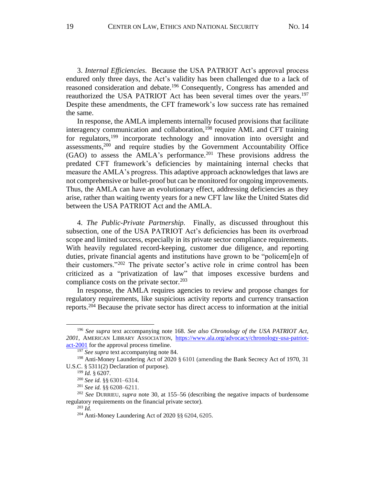3. *Internal Efficiencies.* Because the USA PATRIOT Act's approval process endured only three days, the Act's validity has been challenged due to a lack of reasoned consideration and debate.<sup>196</sup> Consequently, Congress has amended and reauthorized the USA PATRIOT Act has been several times over the years.<sup>197</sup> Despite these amendments, the CFT framework's low success rate has remained the same.

In response, the AMLA implements internally focused provisions that facilitate interagency communication and collaboration, <sup>198</sup> require AML and CFT training for regulators,<sup>199</sup> incorporate technology and innovation into oversight and assessments, <sup>200</sup> and require studies by the Government Accountability Office (GAO) to assess the AMLA's performance. <sup>201</sup> These provisions address the predated CFT framework's deficiencies by maintaining internal checks that measure the AMLA's progress. This adaptive approach acknowledges that laws are not comprehensive or bullet-proof but can be monitored for ongoing improvements. Thus, the AMLA can have an evolutionary effect, addressing deficiencies as they arise, rather than waiting twenty years for a new CFT law like the United States did between the USA PATRIOT Act and the AMLA.

4. *The Public-Private Partnership.* Finally, as discussed throughout this subsection, one of the USA PATRIOT Act's deficiencies has been its overbroad scope and limited success, especially in its private sector compliance requirements. With heavily regulated record-keeping, customer due diligence, and reporting duties, private financial agents and institutions have grown to be "policem[e]n of their customers."<sup>202</sup> The private sector's active role in crime control has been criticized as a "privatization of law" that imposes excessive burdens and compliance costs on the private sector.<sup>203</sup>

In response, the AMLA requires agencies to review and propose changes for regulatory requirements, like suspicious activity reports and currency transaction reports.<sup>204</sup> Because the private sector has direct access to information at the initial

 $^{203}$  *Id.* 

<sup>196</sup> *See supra* text accompanying note 168. *See also Chronology of the USA PATRIOT Act, 2001,* AMERICAN LIBRARY ASSOCIATION, [https://www.ala.org/advocacy/chronology-usa-patriot](https://www.ala.org/advocacy/chronology-usa-patriot-act-2001)[act-2001](https://www.ala.org/advocacy/chronology-usa-patriot-act-2001) for the approval process timeline.

<sup>197</sup> *See supra* text accompanying note 84.

<sup>198</sup> Anti-Money Laundering Act of 2020 § 6101 (amending the Bank Secrecy Act of 1970, 31 U.S.C. § 5311(2) Declaration of purpose).

<sup>199</sup> *Id.* § 6207.

<sup>200</sup> *See id.* §§ 6301–6314.

<sup>201</sup> *See id.* §§ 6208–6211.

<sup>202</sup> *See* DURRIEU, *supra* note 30, at 155–56 (describing the negative impacts of burdensome regulatory requirements on the financial private sector).

<sup>204</sup> Anti-Money Laundering Act of 2020 §§ 6204, 6205.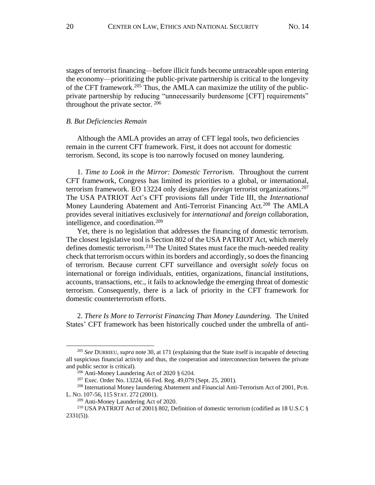stages of terrorist financing––before illicit funds become untraceable upon entering the economy––prioritizing the public-private partnership is critical to the longevity of the CFT framework.<sup>205</sup> Thus, the AMLA can maximize the utility of the publicprivate partnership by reducing "unnecessarily burdensome [CFT] requirements" throughout the private sector. <sup>206</sup>

#### *B. But Deficiencies Remain*

Although the AMLA provides an array of CFT legal tools, two deficiencies remain in the current CFT framework. First, it does not account for domestic terrorism. Second, its scope is too narrowly focused on money laundering.

1. *Time to Look in the Mirror: Domestic Terrorism.* Throughout the current CFT framework, Congress has limited its priorities to a global, or international, terrorism framework. EO 13224 only designates *foreign* terrorist organizations.<sup>207</sup> The USA PATRIOT Act's CFT provisions fall under Title III, the *International*  Money Laundering Abatement and Anti-Terrorist Financing Act.<sup>208</sup> The AMLA provides several initiatives exclusively for *international* and *foreign* collaboration, intelligence, and coordination.<sup>209</sup>

Yet, there is no legislation that addresses the financing of domestic terrorism. The closest legislative tool is Section 802 of the USA PATRIOT Act, which merely defines domestic terrorism.<sup>210</sup> The United States must face the much-needed reality check that terrorism occurs within its borders and accordingly, so does the financing of terrorism. Because current CFT surveillance and oversight *solely* focus on international or foreign individuals, entities, organizations, financial institutions, accounts, transactions, etc., it fails to acknowledge the emerging threat of domestic terrorism. Consequently, there is a lack of priority in the CFT framework for domestic counterterrorism efforts.

2. *There Is More to Terrorist Financing Than Money Laundering.* The United States' CFT framework has been historically couched under the umbrella of anti-

<sup>205</sup> *See* DURRIEU, *supra* note 30, at 171 (explaining that the State itself is incapable of detecting all suspicious financial activity and thus, the cooperation and interconnection between the private and public sector is critical).

<sup>206</sup> Anti-Money Laundering Act of 2020 § 6204.

<sup>207</sup> Exec. Order No. 13224, 66 Fed. Reg. 49,079 (Sept. 25, 2001).

<sup>208</sup> International Money laundering Abatement and Financial Anti-Terrorism Act of 2001, PUB. L. NO. 107-56, 115STAT. 272 (2001).

<sup>209</sup> Anti-Money Laundering Act of 2020.

<sup>210</sup> USA PATRIOT Act of 2001§ 802, Definition of domestic terrorism (codified as 18 U.S.C §  $2331(5)$ ).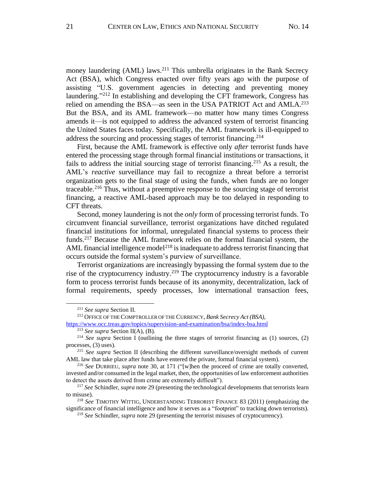money laundering (AML) laws.<sup>211</sup> This umbrella originates in the Bank Secrecy Act (BSA), which Congress enacted over fifty years ago with the purpose of assisting "U.S. government agencies in detecting and preventing money laundering."<sup>212</sup> In establishing and developing the CFT framework, Congress has relied on amending the BSA—as seen in the USA PATRIOT Act and AMLA.<sup>213</sup> But the BSA, and its AML framework––no matter how many times Congress amends it––is not equipped to address the advanced system of terrorist financing the United States faces today. Specifically, the AML framework is ill-equipped to address the sourcing and processing stages of terrorist financing. 214

First, because the AML framework is effective only *after* terrorist funds have entered the processing stage through formal financial institutions or transactions, it fails to address the initial sourcing stage of terrorist financing.<sup>215</sup> As a result, the AML's *reactive* surveillance may fail to recognize a threat before a terrorist organization gets to the final stage of using the funds, when funds are no longer traceable. <sup>216</sup> Thus, without a preemptive response to the sourcing stage of terrorist financing, a reactive AML-based approach may be too delayed in responding to CFT threats.

Second, money laundering is not the *only* form of processing terrorist funds. To circumvent financial surveillance, terrorist organizations have ditched regulated financial institutions for informal, unregulated financial systems to process their funds.<sup>217</sup> Because the AML framework relies on the formal financial system, the AML financial intelligence model<sup>218</sup> is inadequate to address terrorist financing that occurs outside the formal system's purview of surveillance.

Terrorist organizations are increasingly bypassing the formal system due to the rise of the cryptocurrency industry.<sup>219</sup> The cryptocurrency industry is a favorable form to process terrorist funds because of its anonymity, decentralization, lack of formal requirements, speedy processes, low international transaction fees,

<sup>211</sup> *See supra* Section II.

<sup>&</sup>lt;sup>212</sup> OFFICE OF THE COMPTROLLER OF THE CURRENCY, Bank Secrecy Act (BSA),

<https://www.occ.treas.gov/topics/supervision-and-examination/bsa/index-bsa.html>

<sup>213</sup> *See supra* Section II(A), (B).

<sup>214</sup> *See supra* Section I (outlining the three stages of terrorist financing as (1) sources, (2) processes, (3) uses).

<sup>215</sup> *See supra* Section II (describing the different surveillance/oversight methods of current AML law that take place after funds have entered the private, formal financial system).

<sup>216</sup> *See* DURRIEU, *supra* note 30, at 171 ("[w]hen the proceed of crime are totally converted, invested and/or consumed in the legal market, then, the opportunities of law enforcement authorities to detect the assets derived from crime are extremely difficult").

<sup>217</sup> *See* Schindler, *supra* note 29 (presenting the technological developments that terrorists learn to misuse).

<sup>218</sup> *See* TIMOTHY WITTIG, UNDERSTANDING TERRORIST FINANCE 83 (2011) (emphasizing the significance of financial intelligence and how it serves as a "footprint" to tracking down terrorists).

<sup>219</sup> *See* Schindler, *supra* note 29 (presenting the terrorist misuses of cryptocurrency).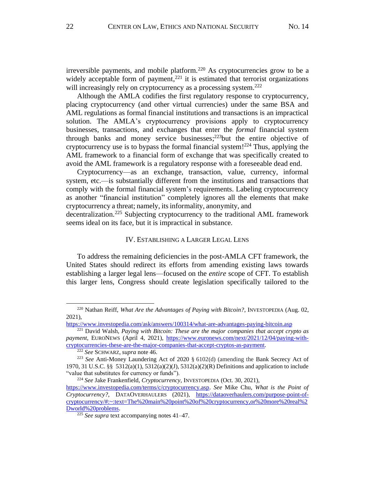irreversible payments, and mobile platform.<sup>220</sup> As cryptocurrencies grow to be a widely acceptable form of payment, $^{221}$  it is estimated that terrorist organizations will increasingly rely on cryptocurrency as a processing system.<sup>222</sup>

Although the AMLA codifies the first regulatory response to cryptocurrency, placing cryptocurrency (and other virtual currencies) under the same BSA and AML regulations as formal financial institutions and transactions is an impractical solution. The AMLA's cryptocurrency provisions apply to cryptocurrency businesses, transactions, and exchanges that enter the *formal* financial system through banks and money service businesses;<sup>223</sup>but the entire objective of cryptocurrency use is to bypass the formal financial system! <sup>224</sup> Thus, applying the AML framework to a financial form of exchange that was specifically created to avoid the AML framework is a regulatory response with a foreseeable dead end.

Cryptocurrency––as an exchange, transaction, value, currency, informal system, etc.––is substantially different from the institutions and transactions that comply with the formal financial system's requirements. Labeling cryptocurrency as another "financial institution" completely ignores all the elements that make cryptocurrency a threat; namely, its informality, anonymity, and…………………...

decentralization.<sup>225</sup> Subjecting cryptocurrency to the traditional AML framework seems ideal on its face, but it is impractical in substance.

#### IV. ESTABLISHING A LARGER LEGAL LENS

To address the remaining deficiencies in the post-AMLA CFT framework, the United States should redirect its efforts from amending existing laws towards establishing a larger legal lens––focused on the *entire* scope of CFT. To establish this larger lens, Congress should create legislation specifically tailored to the

<sup>220</sup> Nathan Reiff, *What Are the Advantages of Paying with Bitcoin?*, INVESTOPEDIA (Aug. 02, 2021),

<https://www.investopedia.com/ask/answers/100314/what-are-advantages-paying-bitcoin.asp>

<sup>221</sup> David Walsh, *Paying with Bitcoin: These are the major companies that accept crypto as payment*, EURONEWS (April 4, 2021), [https://www.euronews.com/next/2021/12/04/paying-with](https://www.euronews.com/next/2021/12/04/paying-with-cryptocurrencies-these-are-the-major-companies-that-accept-cryptos-as-payment)[cryptocurrencies-these-are-the-major-companies-that-accept-cryptos-as-payment.](https://www.euronews.com/next/2021/12/04/paying-with-cryptocurrencies-these-are-the-major-companies-that-accept-cryptos-as-payment)

<sup>222</sup> *See* SCHWARZ, *supra* note 46.

<sup>223</sup> *See* Anti-Money Laundering Act of 2020 § 6102(d) (amending the Bank Secrecy Act of 1970, 31 U.S.C. §§ 5312(a)(1), 5312(a)(2)(J), 5312(a)(2)(R) Definitions and application to include "value that substitutes for currency or funds").

<sup>&</sup>lt;sup>224</sup> See Jake Frankenfield, *Cryptocurrency*, INVESTOPEDIA (Oct. 30, 2021),

[https://www.investopedia.com/terms/c/cryptocurrency.asp.](https://www.investopedia.com/terms/c/cryptocurrency.asp) *See* Mike Chu, *What is the Point of Cryptocurrency?*, DATAOVERHAULERS (2021), [https://dataoverhaulers.com/purpose-point-of](https://dataoverhaulers.com/purpose-point-of-cryptocurrency/#:~:text=The%20main%20point%20of%20cryptocurrency,or%20more%20real%2Dworld%20problems)[cryptocurrency/#:~:text=The%20main%20point%20of%20cryptocurrency,or%20more%20real%2](https://dataoverhaulers.com/purpose-point-of-cryptocurrency/#:~:text=The%20main%20point%20of%20cryptocurrency,or%20more%20real%2Dworld%20problems) [Dworld%20problems.](https://dataoverhaulers.com/purpose-point-of-cryptocurrency/#:~:text=The%20main%20point%20of%20cryptocurrency,or%20more%20real%2Dworld%20problems)

<sup>225</sup> *See supra* text accompanying notes 41–47.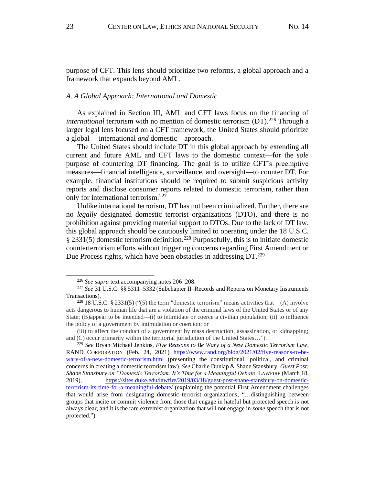purpose of CFT. This lens should prioritize two reforms, a global approach and a framework that expands beyond AML.

#### *A. A Global Approach: International and Domestic*

As explained in Section III, AML and CFT laws focus on the financing of *international* terrorism with no mention of domestic terrorism (DT). <sup>226</sup> Through a larger legal lens focused on a CFT framework, the United States should prioritize a global ––international *and* domestic––approach.

The United States should include DT in this global approach by extending all current and future AML and CFT laws to the domestic context––for the *sole*  purpose of countering DT financing. The goal is to utilize CFT's preemptive measures––financial intelligence, surveillance, and oversight––to counter DT. For example, financial institutions should be required to submit suspicious activity reports and disclose consumer reports related to domestic terrorism, rather than only for international terrorism.<sup>227</sup>

Unlike international terrorism, DT has not been criminalized. Further, there are no *legally* designated domestic terrorist organizations (DTO), and there is no prohibition against providing material support to DTOs. Due to the lack of DT law, this global approach should be cautiously limited to operating under the 18 U.S.C. § 2331(5) domestic terrorism definition.<sup>228</sup> Purposefully, this is to initiate domestic counterterrorism efforts without triggering concerns regarding First Amendment or Due Process rights, which have been obstacles in addressing DT.<sup>229</sup>

<sup>226</sup> *See supra* text accompanying notes 206–208.

<sup>227</sup> *See* 31 U.S.C. §§ 5311–5332 (Subchapter II–Records and Reports on Monetary Instruments Transactions).

<sup>&</sup>lt;sup>228</sup> 18 U.S.C. § 2331(5) ("(5) the term "domestic terrorism" means activities that—(A) involve acts dangerous to human life that are a violation of the criminal laws of the United States or of any State; (B)appear to be intended—(i) to intimidate or coerce a civilian population; (ii) to influence the policy of a government by intimidation or coercion; or

<sup>(</sup>iii) to affect the conduct of a government by mass destruction, assassination, or kidnapping; and (C) occur primarily within the territorial jurisdiction of the United States…").

<sup>229</sup> *See* Bryan Michael Jenkins, *Five Reasons to Be Wary of a New Domestic Terrorism Law*, RAND CORPORATION (Feb. 24, 2021) [https://www.rand.org/blog/2021/02/five-reasons-to-be](https://www.rand.org/blog/2021/02/five-reasons-to-be-wary-of-a-new-domestic-terrorism.html)[wary-of-a-new-domestic-terrorism.html](https://www.rand.org/blog/2021/02/five-reasons-to-be-wary-of-a-new-domestic-terrorism.html) (presenting the constitutional, political, and criminal concerns in creating a domestic terrorism law). *See* Charlie Dunlap & Shane Stansbury, *Guest Post: Shane Stansbury on "Domestic Terrorism: It's Time for a Meaningful Debate,* LAWFIRE (March 18, 2019), [https://sites.duke.edu/lawfire/2019/03/18/guest-post-shane-stansbury-on-domestic](https://sites.duke.edu/lawfire/2019/03/18/guest-post-shane-stansbury-on-domestic-terrorism-its-time-for-a-meaningful-debate/)[terrorism-its-time-for-a-meaningful-debate/](https://sites.duke.edu/lawfire/2019/03/18/guest-post-shane-stansbury-on-domestic-terrorism-its-time-for-a-meaningful-debate/) (explaining the potential First Amendment challenges that would arise from designating domestic terrorist organizations; "…distinguishing between groups that incite or commit violence from those that engage in hateful but protected speech is not always clear, and it is the rare extremist organization that will not engage in *some* speech that is not protected.").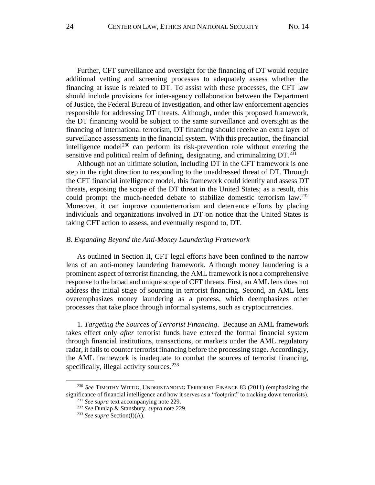Further, CFT surveillance and oversight for the financing of DT would require additional vetting and screening processes to adequately assess whether the financing at issue is related to DT. To assist with these processes, the CFT law should include provisions for inter-agency collaboration between the Department of Justice, the Federal Bureau of Investigation, and other law enforcement agencies responsible for addressing DT threats. Although, under this proposed framework, the DT financing would be subject to the same surveillance and oversight as the financing of international terrorism, DT financing should receive an extra layer of surveillance assessments in the financial system. With this precaution, the financial intelligence model<sup>230</sup> can perform its risk-prevention role without entering the sensitive and political realm of defining, designating, and criminalizing DT.<sup>231</sup>

Although not an ultimate solution, including DT in the CFT framework is one step in the right direction to responding to the unaddressed threat of DT. Through the CFT financial intelligence model, this framework could identify and assess DT threats, exposing the scope of the DT threat in the United States; as a result, this could prompt the much-needed debate to stabilize domestic terrorism law.<sup>232</sup> Moreover, it can improve counterterrorism and deterrence efforts by placing individuals and organizations involved in DT on notice that the United States is taking CFT action to assess, and eventually respond to, DT.

#### *B. Expanding Beyond the Anti-Money Laundering Framework*

As outlined in Section II, CFT legal efforts have been confined to the narrow lens of an anti-money laundering framework. Although money laundering is a prominent aspect of terrorist financing, the AML framework is not a comprehensive response to the broad and unique scope of CFT threats. First, an AML lens does not address the initial stage of sourcing in terrorist financing. Second, an AML lens overemphasizes money laundering as a process, which deemphasizes other processes that take place through informal systems, such as cryptocurrencies.

1. *Targeting the Sources of Terrorist Financing.* Because an AML framework takes effect only *after* terrorist funds have entered the formal financial system through financial institutions, transactions, or markets under the AML regulatory radar, it fails to counter terrorist financing before the processing stage. Accordingly, the AML framework is inadequate to combat the sources of terrorist financing, specifically, illegal activity sources.<sup>233</sup>

<sup>230</sup> *See* TIMOTHY WITTIG, UNDERSTANDING TERRORIST FINANCE 83 (2011) (emphasizing the significance of financial intelligence and how it serves as a "footprint" to tracking down terrorists).

<sup>231</sup> *See supra* text accompanying note 229.

<sup>232</sup> *See* Dunlap & Stansbury, *supra* note 229.

<sup>233</sup> *See supra* Section(I)(A).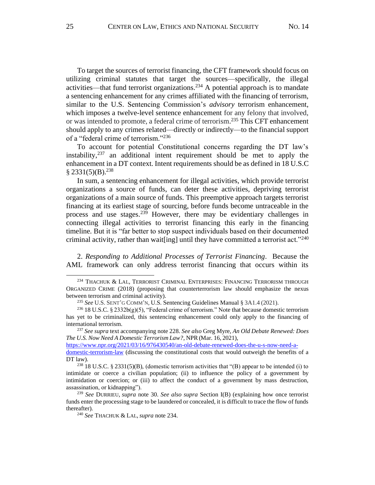To target the sources of terrorist financing, the CFT framework should focus on utilizing criminal statutes that target the sources––specifically, the illegal activities––that fund terrorist organizations.<sup>234</sup> A potential approach is to mandate a sentencing enhancement for any crimes affiliated with the financing of terrorism, similar to the U.S. Sentencing Commission's *advisory* terrorism enhancement, which imposes a twelve-level sentence enhancement for any felony that involved, or was intended to promote, a federal crime of terrorism. <sup>235</sup> This CFT enhancement should apply to any crimes related––directly or indirectly––to the financial support of a "federal crime of terrorism." 236

To account for potential Constitutional concerns regarding the DT law's instability, <sup>237</sup> an additional intent requirement should be met to apply the enhancement in a DT context. Intent requirements should be as defined in 18 U.S.C  $$2331(5)(B).^{238}$ 

In sum, a sentencing enhancement for illegal activities, which provide terrorist organizations a source of funds, can deter these activities, depriving terrorist organizations of a main source of funds. This preemptive approach targets terrorist financing at its earliest stage of sourcing, before funds become untraceable in the process and use stages. <sup>239</sup> However, there may be evidentiary challenges in connecting illegal activities to terrorist financing this early in the financing timeline. But it is "far better to stop suspect individuals based on their documented criminal activity, rather than wait[ing] until they have committed a terrorist act."<sup>240</sup>

2. *Responding to Additional Processes of Terrorist Financing*. Because the AML framework can only address terrorist financing that occurs within its

<sup>237</sup> *See supra* text accompanying note 228. *See also* Greg Myre, *An Old Debate Renewed: Does The U.S. Now Need A Domestic Terrorism Law?*, NPR (Mar. 16, 2021),

[https://www.npr.org/2021/03/16/976430540/an-old-debate-renewed-does-the-u-s-now-need-a](https://www.npr.org/2021/03/16/976430540/an-old-debate-renewed-does-the-u-s-now-need-a-domestic-terrorism-law)[domestic-terrorism-law](https://www.npr.org/2021/03/16/976430540/an-old-debate-renewed-does-the-u-s-now-need-a-domestic-terrorism-law) (discussing the constitutional costs that would outweigh the benefits of a DT law).

<sup>&</sup>lt;sup>234</sup> THACHUK & LAL, TERRORIST CRIMINAL ENTERPRISES: FINANCING TERRORISM THROUGH ORGANIZED CRIME (2018) (proposing that counterterrorism law should emphasize the nexus between terrorism and criminal activity).

<sup>235</sup> *See* U.S.SENT'G COMM'N, U.S. Sentencing Guidelines Manual § 3A1.4 (2021).

 $236$  18 U.S.C. § 2332b(g)(5), "Federal crime of terrorism." Note that because domestic terrorism has yet to be criminalized, this sentencing enhancement could only apply to the financing of international terrorism.

 $238$  18 U.S.C. § 2331(5)(B), (domestic terrorism activities that "(B) appear to be intended (i) to intimidate or coerce a civilian population; (ii) to influence the policy of a government by intimidation or coercion; or (iii) to affect the conduct of a government by mass destruction, assassination, or kidnapping").

<sup>239</sup> *See* DURRIEU, *supra* note 30. *See also supra* Section I(B) (explaining how once terrorist funds enter the processing stage to be laundered or concealed, it is difficult to trace the flow of funds thereafter).

<sup>240</sup> *See* THACHUK & LAL, *supra* note 234.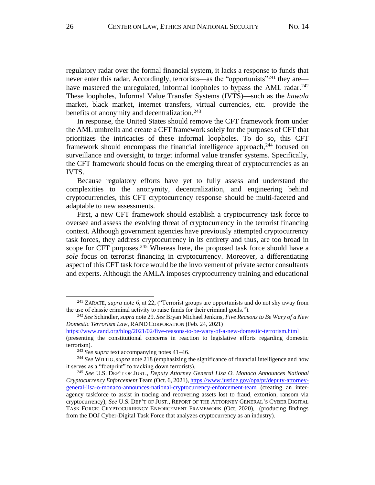regulatory radar over the formal financial system, it lacks a response to funds that never enter this radar. Accordingly, terrorists—as the "opportunists"<sup>241</sup> they are have mastered the unregulated, informal loopholes to bypass the AML radar.<sup>242</sup> These loopholes, Informal Value Transfer Systems (IVTS)––such as the *hawala* market, black market, internet transfers, virtual currencies, etc.––provide the benefits of anonymity and decentralization. 243

In response, the United States should remove the CFT framework from under the AML umbrella and create a CFT framework solely for the purposes of CFT that prioritizes the intricacies of these informal loopholes. To do so, this CFT framework should encompass the financial intelligence approach,<sup>244</sup> focused on surveillance and oversight, to target informal value transfer systems. Specifically, the CFT framework should focus on the emerging threat of cryptocurrencies as an IVTS.

Because regulatory efforts have yet to fully assess and understand the complexities to the anonymity, decentralization, and engineering behind cryptocurrencies, this CFT cryptocurrency response should be multi-faceted and adaptable to new assessments.

First, a new CFT framework should establish a cryptocurrency task force to oversee and assess the evolving threat of cryptocurrency in the terrorist financing context. Although government agencies have previously attempted cryptocurrency task forces, they address cryptocurrency in its entirety and thus, are too broad in scope for CFT purposes.<sup>245</sup> Whereas here, the proposed task force should have a *sole* focus on terrorist financing in cryptocurrency. Moreover, a differentiating aspect of this CFT task force would be the involvement of private sector consultants and experts. Although the AMLA imposes cryptocurrency training and educational

<https://www.rand.org/blog/2021/02/five-reasons-to-be-wary-of-a-new-domestic-terrorism.html>

<sup>241</sup> ZARATE, *supra* note 6, at 22, ("Terrorist groups are opportunists and do not shy away from the use of classic criminal activity to raise funds for their criminal goals.").

<sup>242</sup> *See* Schindler, *supra* note 29. *See* Bryan Michael Jenkins, *Five Reasons to Be Wary of a New Domestic Terrorism Law*, RAND CORPORATION (Feb. 24, 2021)

<sup>(</sup>presenting the constitutional concerns in reaction to legislative efforts regarding domestic terrorism).

<sup>243</sup> *See supra* text accompanying notes 41–46.

<sup>244</sup> *See* WITTIG,*supra* note 218 (emphasizing the significance of financial intelligence and how it serves as a "footprint" to tracking down terrorists).

<sup>245</sup> *See* U.S. DEP'T OF JUST., *Deputy Attorney General Lisa O. Monaco Announces National Cryptocurrency Enforcement* Team (Oct. 6, 2021)[, https://www.justice.gov/opa/pr/deputy-attorney](https://www.justice.gov/opa/pr/deputy-attorney-general-lisa-o-monaco-announces-national-cryptocurrency-enforcement-team)[general-lisa-o-monaco-announces-national-cryptocurrency-enforcement-team](https://www.justice.gov/opa/pr/deputy-attorney-general-lisa-o-monaco-announces-national-cryptocurrency-enforcement-team) (creating an interagency taskforce to assist in tracing and recovering assets lost to fraud, extortion, ransom via cryptocurrency); *See* U.S. DEP'T OF JUST., REPORT OF THE ATTORNEY GENERAL'S CYBER DIGITAL TASK FORCE: CRYPTOCURRENCY ENFORCEMENT FRAMEWORK (Oct. 2020), (producing findings from the DOJ Cyber-Digital Task Force that analyzes cryptocurrency as an industry).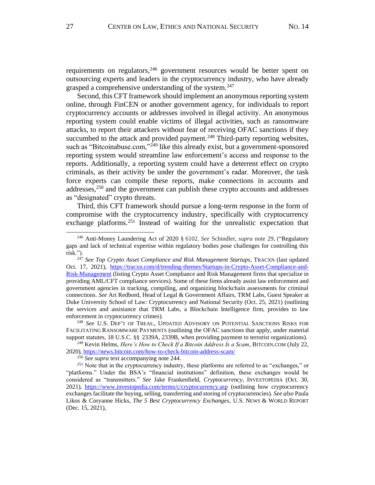requirements on regulators, <sup>246</sup> government resources would be better spent on outsourcing experts and leaders in the cryptocurrency industry, who have already grasped a comprehensive understanding of the system.<sup>247</sup>

Second, this CFT framework should implement an anonymous reporting system online, through FinCEN or another government agency, for individuals to report cryptocurrency accounts or addresses involved in illegal activity. An anonymous reporting system could enable victims of illegal activities, such as ransomware attacks, to report their attackers without fear of receiving OFAC sanctions if they succumbed to the attack and provided payment.<sup>248</sup> Third-party reporting websites, such as "Bitcoinabuse.com,"<sup>249</sup> like this already exist, but a government-sponsored reporting system would streamline law enforcement's access and response to the reports. Additionally, a reporting system could have a deterrent effect on crypto criminals, as their activity be under the government's radar. Moreover, the task force experts can compile these reports, make connections in accounts and addresses, $250$  and the government can publish these crypto accounts and addresses as "designated" crypto threats.

Third, this CFT framework should pursue a long-term response in the form of compromise with the cryptocurrency industry, specifically with cryptocurrency exchange platforms.<sup>251</sup> Instead of waiting for the unrealistic expectation that

<sup>248</sup> *See* U.S. DEP'T OF TREAS., UPDATED ADVISORY ON POTENTIAL SANCTIONS RISKS FOR FACILITATING RANSOMWARE PAYMENTS (outlining the OFAC sanctions that apply, under material support statutes, 18 U.S.C. §§ 2339A, 2339B, when providing payment to terrorist organizations).

<sup>249</sup> Kevin Helms, *Here's How to Check If a Bitcoin Address Is a Scam*, BITCOIN.COM (July 22, 2020),<https://news.bitcoin.com/how-to-check-bitcoin-address-scam/>

<sup>250</sup> *See supra* text accompanying note 244.

<sup>246</sup> Anti-Money Laundering Act of 2020 § 6102. *See* Schindler*, supra* note 29, ("Regulatory gaps and lack of technical expertise within regulatory bodies pose challenges for controlling this risk.").

<sup>&</sup>lt;sup>247</sup> See Top Crypto Asset Compliance and Risk Management Startups, TRACXN (last updated Oct. 17, 2021), [https://tracxn.com/d/trending-themes/Startups-in-Crypto-Asset-Compliance-and-](https://tracxn.com/d/trending-themes/Startups-in-Crypto-Asset-Compliance-and-Risk-Management)[Risk-Management](https://tracxn.com/d/trending-themes/Startups-in-Crypto-Asset-Compliance-and-Risk-Management) (listing Crypto Asset Compliance and Risk Management firms that specialize in providing AML/CFT compliance services). Some of these firms already assist law enforcement and government agencies in tracking, compiling, and organizing blockchain assessments for criminal connections. *See* Ari Redbord, Head of Legal & Government Affairs, TRM Labs, Guest Speaker at Duke University School of Law: Cryptocurrency and National Security (Oct. 25, 2021) (outlining the services and assistance that TRM Labs, a Blockchain Intelligence firm, provides to law enforcement in cryptocurrency crimes).

<sup>&</sup>lt;sup>251</sup> Note that in the cryptocurrency industry, these platforms are referred to as "exchanges," or "platforms." Under the BSA's "financial institutions" definition, these exchanges would be considered as "transmitters." *See* Jake Frankenfield, *Cryptocurrency*, INVESTOPEDIA (Oct. 30, 2021),<https://www.investopedia.com/terms/c/cryptocurrency.asp> (outlining how cryptocurrency exchanges facilitate the buying, selling, transferring and storing of cryptocurrencies). *See also*Paula Likos & Coryanne Hicks, *The 5 Best Cryptocurrency Exchanges*, U.S. NEWS & WORLD REPORT (Dec. 15, 2021),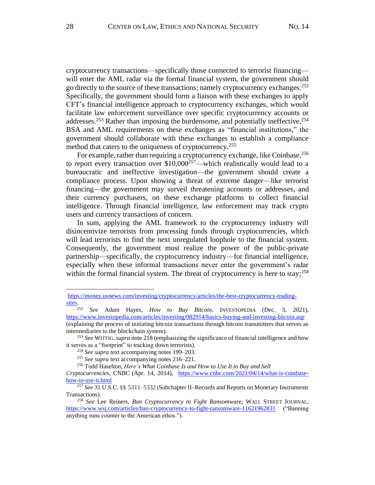cryptocurrency transactions––specifically those connected to terrorist financing–– will enter the AML radar via the formal financial system, the government should go directly to the source of these transactions; namely cryptocurrency exchanges. 252 Specifically, the government should form a liaison with these exchanges to apply CFT's financial intelligence approach to cryptocurrency exchanges, which would facilitate law enforcement surveillance over specific cryptocurrency accounts or addresses.<sup>253</sup> Rather than imposing the burdensome, and potentially ineffective,<sup>254</sup> BSA and AML requirements on these exchanges as "financial institutions," the government should collaborate with these exchanges to establish a compliance method that caters to the uniqueness of cryptocurrency.<sup>255</sup>

For example, rather than requiring a cryptocurrency exchange, like Coinbase,  $256$ to report every transaction over  $$10,000^{257}$ —which realistically would lead to a bureaucratic and ineffective investigation––the government should create a compliance process. Upon showing a threat of extreme danger––like terrorist financing––the government may surveil threatening accounts or addresses, and their currency purchasers, on these exchange platforms to collect financial intelligence. Through financial intelligence, law enforcement may track crypto users and currency transactions of concern.

In sum, applying the AML framework to the cryptocurrency industry will disincentivize terrorists from processing funds through cryptocurrencies, which will lead terrorists to find the next unregulated loophole to the financial system. Consequently, the government must realize the power of the public-private partnership––specifically, the cryptocurrency industry––for financial intelligence, especially when these informal transactions never enter the government's radar within the formal financial system. The threat of cryptocurrency is here to stay;<sup>258</sup>

[https://money.usnews.com/investing/cryptocurrency/articles/the-best-cryptocurrency-trading-](https://money.usnews.com/investing/cryptocurrency/articles/the-best-cryptocurrency-trading-sites) $\frac{\text{sites}}{\text{252}}$ 

<sup>252</sup> *See* Adam Hayes, *How to Buy Bitcoin*, INVESTOPEDIA (Dec. 3, 2021), <https://www.investopedia.com/articles/investing/082914/basics-buying-and-investing-bitcoin.asp> (explaining the process of initiating bitcoin transactions through bitcoin transmitters that serves as intermediaries to the blockchain system).

<sup>253</sup> *See* WITTIG,*supra* note 218 (emphasizing the significance of financial intelligence and how it serves as a "footprint" to tracking down terrorists).

<sup>254</sup> *See supra* text accompanying notes 199–203.

<sup>255</sup> *See supra* text accompanying notes 216–221.

<sup>&</sup>lt;sup>256</sup> Todd Haselton, *Here's What Coinbase Is and How to Use It to Buy and Sell* 

*Cryptocurrencies*, CNBC (Apr. 14, 2014), [https://www.cnbc.com/2021/04/14/what-is-coinbase](https://www.cnbc.com/2021/04/14/what-is-coinbase-how-to-use-it.html)[how-to-use-it.html](https://www.cnbc.com/2021/04/14/what-is-coinbase-how-to-use-it.html)

<sup>257</sup> *See* 31 U.S.C. §§ 5311–5332 (Subchapter II–Records and Reports on Monetary Instruments Transactions).

<sup>258</sup> *See* Lee Reiners, *Ban Cryptocurrency to Fight Ransomware*, WALL STREET JOURNAL, <https://www.wsj.com/articles/ban-cryptocurrency-to-fight-ransomware-11621962831> ("Banning anything runs counter to the American ethos.").